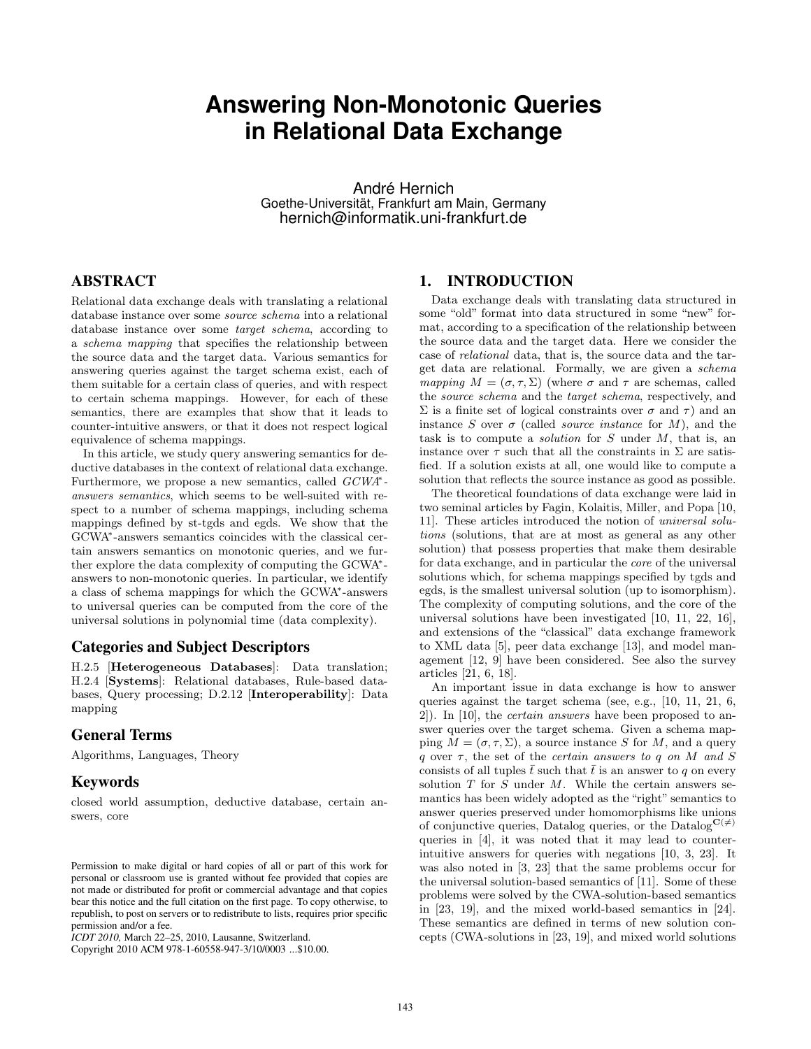# **Answering Non-Monotonic Queries in Relational Data Exchange**

André Hernich Goethe-Universität, Frankfurt am Main, Germany hernich@informatik.uni-frankfurt.de

# ABSTRACT

Relational data exchange deals with translating a relational database instance over some *source schema* into a relational database instance over some *target schema*, according to a *schema mapping* that specifies the relationship between the source data and the target data. Various semantics for answering queries against the target schema exist, each of them suitable for a certain class of queries, and with respect to certain schema mappings. However, for each of these semantics, there are examples that show that it leads to counter-intuitive answers, or that it does not respect logical equivalence of schema mappings.

In this article, we study query answering semantics for deductive databases in the context of relational data exchange. Furthermore, we propose a new semantics, called *GCWA*<sup>∗</sup>  *answers semantics*, which seems to be well-suited with respect to a number of schema mappings, including schema mappings defined by st-tgds and egds. We show that the GCWA<sup>∗</sup> -answers semantics coincides with the classical certain answers semantics on monotonic queries, and we further explore the data complexity of computing the GCWA<sup>∗</sup> answers to non-monotonic queries. In particular, we identify a class of schema mappings for which the GCWA<sup>∗</sup> -answers to universal queries can be computed from the core of the universal solutions in polynomial time (data complexity).

## Categories and Subject Descriptors

H.2.5 [Heterogeneous Databases]: Data translation; H.2.4 [Systems]: Relational databases, Rule-based databases, Query processing; D.2.12 [Interoperability]: Data mapping

# General Terms

Algorithms, Languages, Theory

# Keywords

closed world assumption, deductive database, certain answers, core

Copyright 2010 ACM 978-1-60558-947-3/10/0003 ...\$10.00.

# 1. INTRODUCTION

Data exchange deals with translating data structured in some "old" format into data structured in some "new" format, according to a specification of the relationship between the source data and the target data. Here we consider the case of *relational* data, that is, the source data and the target data are relational. Formally, we are given a *schema mapping*  $M = (\sigma, \tau, \Sigma)$  (where  $\sigma$  and  $\tau$  are schemas, called the *source schema* and the *target schema*, respectively, and  $\Sigma$  is a finite set of logical constraints over  $\sigma$  and  $\tau$ ) and an instance S over  $\sigma$  (called *source instance* for M), and the task is to compute a *solution* for S under M, that is, an instance over  $\tau$  such that all the constraints in  $\Sigma$  are satisfied. If a solution exists at all, one would like to compute a solution that reflects the source instance as good as possible.

The theoretical foundations of data exchange were laid in two seminal articles by Fagin, Kolaitis, Miller, and Popa [10, 11]. These articles introduced the notion of *universal solutions* (solutions, that are at most as general as any other solution) that possess properties that make them desirable for data exchange, and in particular the *core* of the universal solutions which, for schema mappings specified by tgds and egds, is the smallest universal solution (up to isomorphism). The complexity of computing solutions, and the core of the universal solutions have been investigated [10, 11, 22, 16], and extensions of the "classical" data exchange framework to XML data [5], peer data exchange [13], and model management [12, 9] have been considered. See also the survey articles [21, 6, 18].

An important issue in data exchange is how to answer queries against the target schema (see, e.g., [10, 11, 21, 6, 2]). In [10], the *certain answers* have been proposed to answer queries over the target schema. Given a schema mapping  $M = (\sigma, \tau, \Sigma)$ , a source instance S for M, and a query q over τ , the set of the *certain answers to* q *on* M *and* S consists of all tuples  $\bar{t}$  such that  $\bar{t}$  is an answer to q on every solution  $T$  for  $S$  under  $M$ . While the certain answers semantics has been widely adopted as the "right" semantics to answer queries preserved under homomorphisms like unions of conjunctive queries, Datalog queries, or the Datalog  $C(\neq)$ queries in [4], it was noted that it may lead to counterintuitive answers for queries with negations [10, 3, 23]. It was also noted in [3, 23] that the same problems occur for the universal solution-based semantics of [11]. Some of these problems were solved by the CWA-solution-based semantics in [23, 19], and the mixed world-based semantics in [24]. These semantics are defined in terms of new solution concepts (CWA-solutions in [23, 19], and mixed world solutions

Permission to make digital or hard copies of all or part of this work for personal or classroom use is granted without fee provided that copies are not made or distributed for profit or commercial advantage and that copies bear this notice and the full citation on the first page. To copy otherwise, to republish, to post on servers or to redistribute to lists, requires prior specific permission and/or a fee.

*ICDT 2010,* March 22–25, 2010, Lausanne, Switzerland.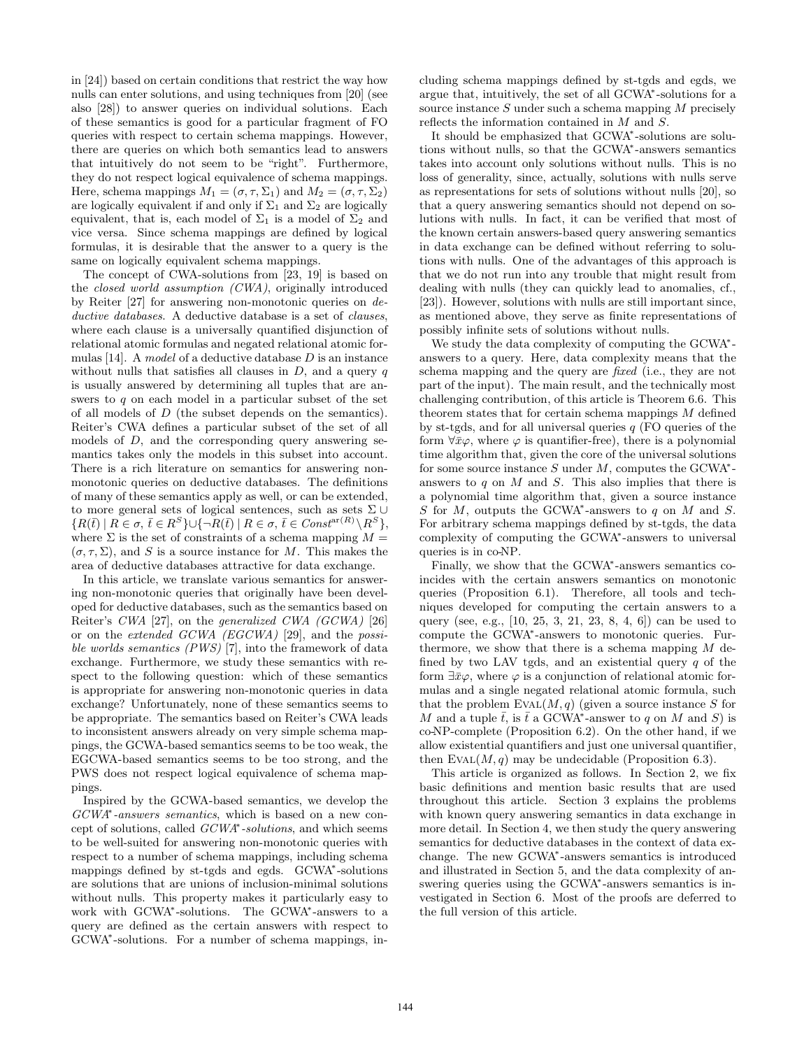in [24]) based on certain conditions that restrict the way how nulls can enter solutions, and using techniques from [20] (see also [28]) to answer queries on individual solutions. Each of these semantics is good for a particular fragment of FO queries with respect to certain schema mappings. However, there are queries on which both semantics lead to answers that intuitively do not seem to be "right". Furthermore, they do not respect logical equivalence of schema mappings. Here, schema mappings  $M_1 = (\sigma, \tau, \Sigma_1)$  and  $M_2 = (\sigma, \tau, \Sigma_2)$ are logically equivalent if and only if  $\Sigma_1$  and  $\Sigma_2$  are logically equivalent, that is, each model of  $\Sigma_1$  is a model of  $\Sigma_2$  and vice versa. Since schema mappings are defined by logical formulas, it is desirable that the answer to a query is the same on logically equivalent schema mappings.

The concept of CWA-solutions from [23, 19] is based on the *closed world assumption (CWA)*, originally introduced by Reiter [27] for answering non-monotonic queries on *deductive databases*. A deductive database is a set of *clauses*, where each clause is a universally quantified disjunction of relational atomic formulas and negated relational atomic formulas [14]. A *model* of a deductive database D is an instance without nulls that satisfies all clauses in  $D$ , and a query  $q$ is usually answered by determining all tuples that are answers to  $q$  on each model in a particular subset of the set of all models of D (the subset depends on the semantics). Reiter's CWA defines a particular subset of the set of all models of D, and the corresponding query answering semantics takes only the models in this subset into account. There is a rich literature on semantics for answering nonmonotonic queries on deductive databases. The definitions of many of these semantics apply as well, or can be extended, to more general sets of logical sentences, such as sets  $\Sigma \cup$  ${R(\bar{t}) | R \in \sigma, \, \bar{t} \in R^S} \cup {\neg R(\bar{t}) | R \in \sigma, \, \bar{t} \in Const^{\text{ar}(R)} \setminus R^S},$ where  $\Sigma$  is the set of constraints of a schema mapping  $M =$  $(\sigma, \tau, \Sigma)$ , and S is a source instance for M. This makes the area of deductive databases attractive for data exchange.

In this article, we translate various semantics for answering non-monotonic queries that originally have been developed for deductive databases, such as the semantics based on Reiter's *CWA* [27], on the *generalized CWA (GCWA)* [26] or on the *extended GCWA (EGCWA)* [29], and the *possible worlds semantics (PWS)* [7], into the framework of data exchange. Furthermore, we study these semantics with respect to the following question: which of these semantics is appropriate for answering non-monotonic queries in data exchange? Unfortunately, none of these semantics seems to be appropriate. The semantics based on Reiter's CWA leads to inconsistent answers already on very simple schema mappings, the GCWA-based semantics seems to be too weak, the EGCWA-based semantics seems to be too strong, and the PWS does not respect logical equivalence of schema mappings.

Inspired by the GCWA-based semantics, we develop the *GCWA*<sup>∗</sup> *-answers semantics*, which is based on a new concept of solutions, called *GCWA*<sup>∗</sup> *-solutions*, and which seems to be well-suited for answering non-monotonic queries with respect to a number of schema mappings, including schema mappings defined by st-tgds and egds. GCWA<sup>\*</sup>-solutions are solutions that are unions of inclusion-minimal solutions without nulls. This property makes it particularly easy to work with GCWA<sup>\*</sup>-solutions. The GCWA<sup>\*</sup>-answers to a query are defined as the certain answers with respect to GCWA<sup>∗</sup> -solutions. For a number of schema mappings, including schema mappings defined by st-tgds and egds, we argue that, intuitively, the set of all GCWA<sup>∗</sup> -solutions for a source instance  $S$  under such a schema mapping  $M$  precisely reflects the information contained in M and S.

It should be emphasized that GCWA<sup>\*</sup>-solutions are solutions without nulls, so that the GCWA<sup>∗</sup> -answers semantics takes into account only solutions without nulls. This is no loss of generality, since, actually, solutions with nulls serve as representations for sets of solutions without nulls [20], so that a query answering semantics should not depend on solutions with nulls. In fact, it can be verified that most of the known certain answers-based query answering semantics in data exchange can be defined without referring to solutions with nulls. One of the advantages of this approach is that we do not run into any trouble that might result from dealing with nulls (they can quickly lead to anomalies, cf., [23]). However, solutions with nulls are still important since, as mentioned above, they serve as finite representations of possibly infinite sets of solutions without nulls.

We study the data complexity of computing the GCWA<sup>\*</sup>answers to a query. Here, data complexity means that the schema mapping and the query are *fixed* (i.e., they are not part of the input). The main result, and the technically most challenging contribution, of this article is Theorem 6.6. This theorem states that for certain schema mappings M defined by st-tgds, and for all universal queries  $q$  (FO queries of the form  $\forall \bar{x}\varphi$ , where  $\varphi$  is quantifier-free), there is a polynomial time algorithm that, given the core of the universal solutions for some source instance  $S$  under  $M$ , computes the GCWA<sup>\*</sup>answers to  $q$  on  $M$  and  $S$ . This also implies that there is a polynomial time algorithm that, given a source instance S for  $M$ , outputs the GCWA<sup>\*</sup>-answers to  $q$  on  $M$  and  $S$ . For arbitrary schema mappings defined by st-tgds, the data complexity of computing the GCWA<sup>∗</sup> -answers to universal queries is in co-NP.

Finally, we show that the GCWA<sup>∗</sup> -answers semantics coincides with the certain answers semantics on monotonic queries (Proposition 6.1). Therefore, all tools and techniques developed for computing the certain answers to a query (see, e.g., [10, 25, 3, 21, 23, 8, 4, 6]) can be used to compute the GCWA<sup>∗</sup> -answers to monotonic queries. Furthermore, we show that there is a schema mapping  $M$  defined by two LAV tgds, and an existential query  $q$  of the form  $\exists \bar{x}\varphi$ , where  $\varphi$  is a conjunction of relational atomic formulas and a single negated relational atomic formula, such that the problem  $EVAL(M, q)$  (given a source instance S for M and a tuple  $\bar{t}$ , is  $\bar{t}$  a GCWA<sup>\*</sup>-answer to q on M and S) is co-NP-complete (Proposition 6.2). On the other hand, if we allow existential quantifiers and just one universal quantifier, then  $EVAL(M, q)$  may be undecidable (Proposition 6.3).

This article is organized as follows. In Section 2, we fix basic definitions and mention basic results that are used throughout this article. Section 3 explains the problems with known query answering semantics in data exchange in more detail. In Section 4, we then study the query answering semantics for deductive databases in the context of data exchange. The new GCWA<sup>∗</sup> -answers semantics is introduced and illustrated in Section 5, and the data complexity of answering queries using the GCWA<sup>\*</sup>-answers semantics is investigated in Section 6. Most of the proofs are deferred to the full version of this article.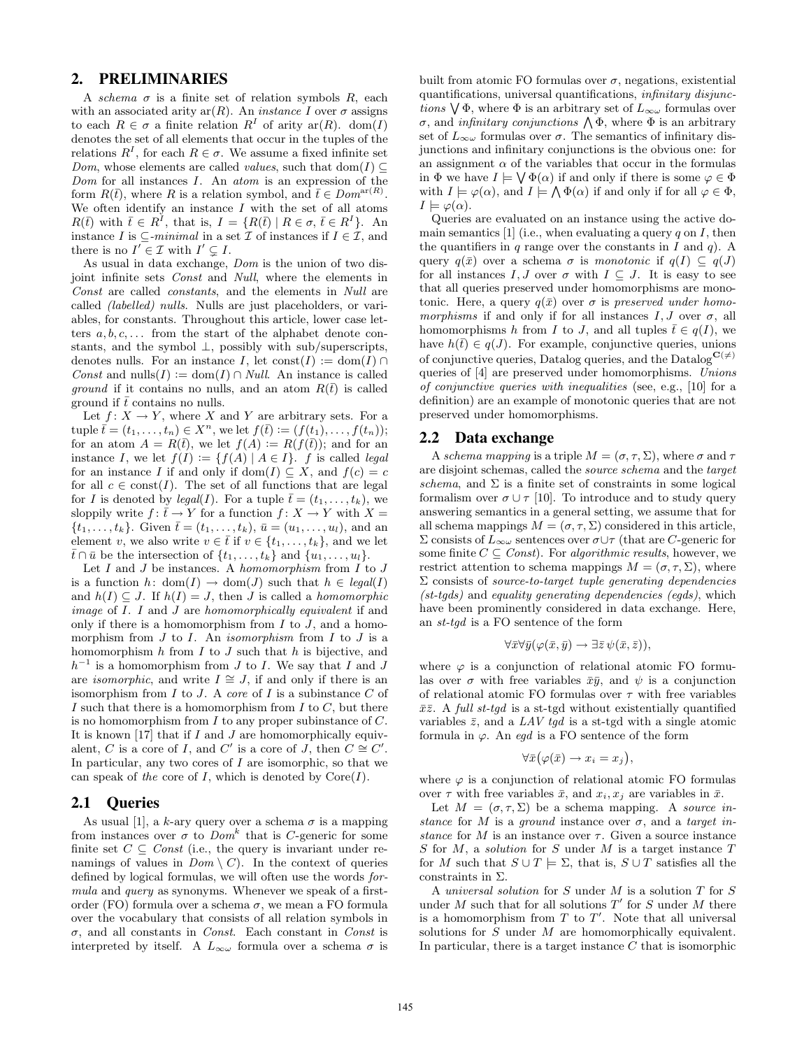## 2. PRELIMINARIES

A *schema*  $\sigma$  is a finite set of relation symbols  $R$ , each with an associated arity ar(R). An *instance* I over  $\sigma$  assigns to each  $R \in \sigma$  a finite relation  $R^I$  of arity  $ar(R)$ . dom(I) denotes the set of all elements that occur in the tuples of the relations  $R^I$ , for each  $R \in \sigma$ . We assume a fixed infinite set *Dom*, whose elements are called *values*, such that dom(I) ⊆ *Dom* for all instances I. An *atom* is an expression of the form  $R(\bar{t})$ , where R is a relation symbol, and  $\bar{t} \in Dom^{\text{ar}(R)}$ . We often identify an instance  $I$  with the set of all atoms  $R(\bar{t})$  with  $\bar{t} \in R^I$ , that is,  $I = \{R(\bar{t}) \mid R \in \sigma, \bar{t} \in R^I\}$ . An instance I is  $\subseteq$ *-minimal* in a set  $\mathcal I$  of instances if  $I \in \mathcal I$ , and there is no  $I' \in \mathcal{I}$  with  $I' \subsetneq I$ .

As usual in data exchange, *Dom* is the union of two disjoint infinite sets *Const* and *Null*, where the elements in *Const* are called *constants*, and the elements in *Null* are called *(labelled) nulls*. Nulls are just placeholders, or variables, for constants. Throughout this article, lower case letters  $a, b, c, \ldots$  from the start of the alphabet denote constants, and the symbol  $\perp$ , possibly with sub/superscripts, denotes nulls. For an instance I, let  $\text{const}(I) := \text{dom}(I) \cap$ *Const* and nulls(*I*) :=  $dom(I) \cap Null$ . An instance is called *ground* if it contains no nulls, and an atom  $R(\bar{t})$  is called ground if  $\bar{t}$  contains no nulls.

Let  $f: X \to Y$ , where X and Y are arbitrary sets. For a tuple  $\bar{t} = (t_1, ..., t_n) \in X^n$ , we let  $f(\bar{t}) := (f(t_1), ..., f(t_n));$ for an atom  $A = R(\bar{t})$ , we let  $f(A) := R(f(\bar{t}))$ ; and for an instance I, we let  $f(I) := \{f(A) | A \in I\}$ . f is called *legal* for an instance I if and only if dom(I)  $\subseteq X$ , and  $f(c) = c$ for all  $c \in \text{const}(I)$ . The set of all functions that are legal for *I* is denoted by *legal*(*I*). For a tuple  $\bar{t} = (t_1, \ldots, t_k)$ , we sloppily write  $f: \bar{t} \to Y$  for a function  $f: X \to Y$  with  $X =$  $\{t_1, \ldots, t_k\}$ . Given  $\bar{t} = (t_1, \ldots, t_k), \bar{u} = (u_1, \ldots, u_l)$ , and an element v, we also write  $v \in \overline{t}$  if  $v \in \{t_1, \ldots, t_k\}$ , and we let  $\bar{t} \cap \bar{u}$  be the intersection of  $\{t_1, \ldots, t_k\}$  and  $\{u_1, \ldots, u_l\}.$ 

Let I and J be instances. A *homomorphism* from I to J is a function  $h: dom(I) \to dom(J)$  such that  $h \in legal(I)$ and  $h(I) \subseteq J$ . If  $h(I) = J$ , then J is called a *homomorphic image* of I. I and J are *homomorphically equivalent* if and only if there is a homomorphism from  $I$  to  $J$ , and a homomorphism from J to I. An *isomorphism* from I to J is a homomorphism  $h$  from  $I$  to  $J$  such that  $h$  is bijective, and  $h^{-1}$  is a homomorphism from J to I. We say that I and J are *isomorphic*, and write  $I \cong J$ , if and only if there is an isomorphism from I to J. A *core* of I is a subinstance C of I such that there is a homomorphism from  $I$  to  $C$ , but there is no homomorphism from  $I$  to any proper subinstance of  $C$ . It is known  $[17]$  that if  $I$  and  $J$  are homomorphically equivalent, C is a core of I, and C' is a core of J, then  $C \cong C'$ . In particular, any two cores of  $I$  are isomorphic, so that we can speak of *the* core of *I*, which is denoted by  $Core(I)$ .

#### 2.1 Queries

As usual [1], a k-ary query over a schema  $\sigma$  is a mapping from instances over  $\sigma$  to  $Dom^k$  that is C-generic for some finite set  $C \subseteq Const$  (i.e., the query is invariant under renamings of values in  $Dom \setminus C$ . In the context of queries defined by logical formulas, we will often use the words *formula* and *query* as synonyms. Whenever we speak of a firstorder (FO) formula over a schema  $\sigma$ , we mean a FO formula over the vocabulary that consists of all relation symbols in σ, and all constants in *Const*. Each constant in *Const* is interpreted by itself. A  $L_{\infty} \omega$  formula over a schema  $\sigma$  is

built from atomic FO formulas over  $\sigma$ , negations, existential quantifications, universal quantifications, *infinitary disjunctions*  $\bigvee$   $\Phi$ , where  $\Phi$  is an arbitrary set of  $L_{\infty}$  formulas over  $\sigma$ , and *infinitary conjunctions*  $\Lambda \Phi$ , where  $\Phi$  is an arbitrary set of  $L_{\infty}$  formulas over  $\sigma$ . The semantics of infinitary disjunctions and infinitary conjunctions is the obvious one: for an assignment  $\alpha$  of the variables that occur in the formulas in  $\Phi$  we have  $I \models \bigvee \Phi(\alpha)$  if and only if there is some  $\varphi \in \Phi$ with  $I \models \varphi(\alpha)$ , and  $I \models \bigwedge \Phi(\alpha)$  if and only if for all  $\varphi \in \Phi$ ,  $I \models \varphi(\alpha)$ .

Queries are evaluated on an instance using the active domain semantics [1] (i.e., when evaluating a query  $q$  on  $I$ , then the quantifiers in q range over the constants in  $I$  and  $q$ ). A query  $q(\bar{x})$  over a schema  $\sigma$  is *monotonic* if  $q(I) \subseteq q(J)$ for all instances I, J over  $\sigma$  with  $I \subseteq J$ . It is easy to see that all queries preserved under homomorphisms are monotonic. Here, a query  $q(\bar{x})$  over  $\sigma$  is *preserved under homomorphisms* if and only if for all instances  $I, J$  over  $\sigma$ , all homomorphisms h from I to J, and all tuples  $\bar{t} \in q(I)$ , we have  $h(\bar{t}) \in q(J)$ . For example, conjunctive queries, unions of conjunctive queries, Datalog queries, and the Datalog  $C^{(\neq)}$ queries of [4] are preserved under homomorphisms. *Unions of conjunctive queries with inequalities* (see, e.g., [10] for a definition) are an example of monotonic queries that are not preserved under homomorphisms.

#### 2.2 Data exchange

A *schema mapping* is a triple  $M = (\sigma, \tau, \Sigma)$ , where  $\sigma$  and  $\tau$ are disjoint schemas, called the *source schema* and the *target schema*, and  $\Sigma$  is a finite set of constraints in some logical formalism over  $\sigma \cup \tau$  [10]. To introduce and to study query answering semantics in a general setting, we assume that for all schema mappings  $M = (\sigma, \tau, \Sigma)$  considered in this article, Σ consists of  $L_{∞ω}$  sentences over  $σ∪τ$  (that are C-generic for some finite  $C \subseteq Const$ ). For *algorithmic results*, however, we restrict attention to schema mappings  $M = (\sigma, \tau, \Sigma)$ , where Σ consists of *source-to-target tuple generating dependencies (st-tgds)* and *equality generating dependencies (egds)*, which have been prominently considered in data exchange. Here, an *st-tgd* is a FO sentence of the form

$$
\forall \bar{x} \forall \bar{y} (\varphi(\bar{x}, \bar{y}) \rightarrow \exists \bar{z} \psi(\bar{x}, \bar{z})),
$$

where  $\varphi$  is a conjunction of relational atomic FO formulas over  $\sigma$  with free variables  $\bar{x}\bar{y}$ , and  $\psi$  is a conjunction of relational atomic FO formulas over  $\tau$  with free variables  $\bar{x}\bar{z}$ . A *full st-tgd* is a st-tgd without existentially quantified variables  $\bar{z}$ , and a *LAV tgd* is a st-tgd with a single atomic formula in  $\varphi$ . An *egd* is a FO sentence of the form

$$
\forall \bar{x} (\varphi(\bar{x}) \to x_i = x_j),
$$

where  $\varphi$  is a conjunction of relational atomic FO formulas over  $\tau$  with free variables  $\bar{x}$ , and  $x_i, x_j$  are variables in  $\bar{x}$ .

Let  $M = (\sigma, \tau, \Sigma)$  be a schema mapping. A *source instance* for M is a *ground* instance over  $\sigma$ , and a *target instance* for M is an instance over  $\tau$ . Given a source instance S for M, a *solution* for S under M is a target instance T for M such that  $S \cup T \models \Sigma$ , that is,  $S \cup T$  satisfies all the constraints in  $\Sigma$ .

A *universal solution* for S under M is a solution T for S under  $M$  such that for all solutions  $T'$  for  $S$  under  $M$  there is a homomorphism from  $T$  to  $T'$ . Note that all universal solutions for S under M are homomorphically equivalent. In particular, there is a target instance  $C$  that is isomorphic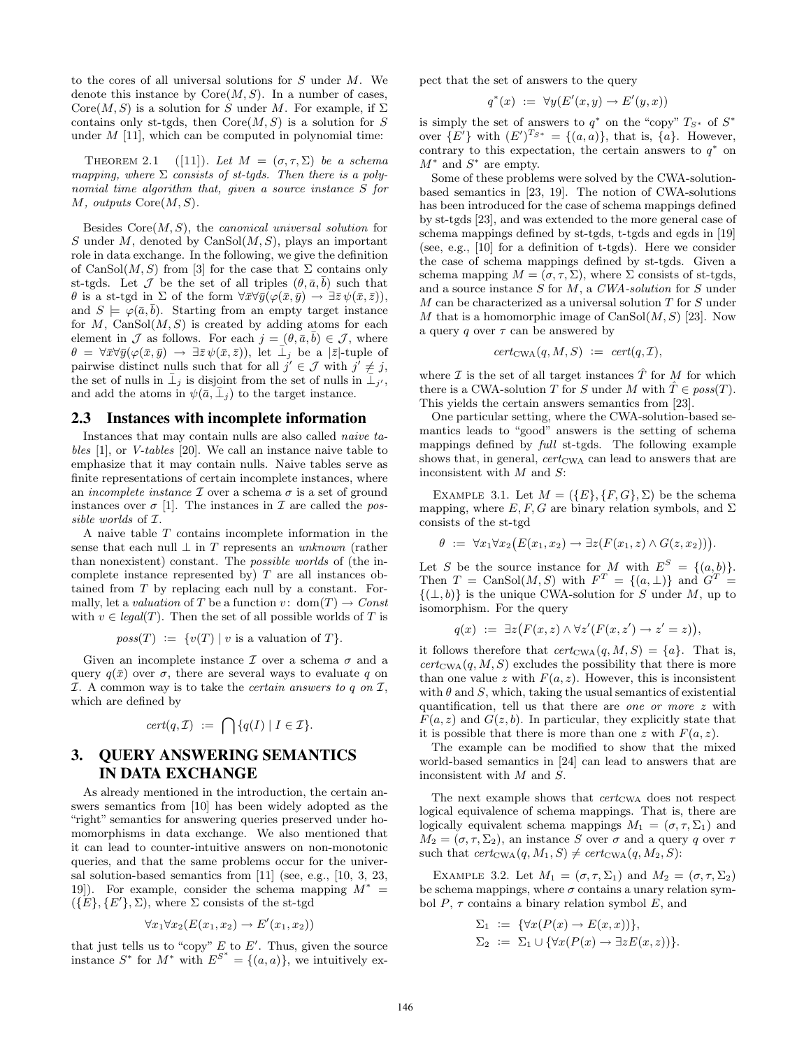to the cores of all universal solutions for S under M. We denote this instance by  $Core(M, S)$ . In a number of cases,  $Core(M, S)$  is a solution for S under M. For example, if  $\Sigma$ contains only st-tgds, then  $Core(M, S)$  is a solution for S under  $M$  [11], which can be computed in polynomial time:

THEOREM 2.1 ([11]). Let  $M = (\sigma, \tau, \Sigma)$  be a schema *mapping, where*  $\Sigma$  *consists of st-tgds. Then there is a polynomial time algorithm that, given a source instance* S *for* M*, outputs* Core(M, S)*.*

Besides Core(M, S), the *canonical universal solution* for S under M, denoted by  $CanSol(M, S)$ , plays an important role in data exchange. In the following, we give the definition of CanSol $(M, S)$  from [3] for the case that  $\Sigma$  contains only st-tgds. Let  $\mathcal J$  be the set of all triples  $(\theta, \bar a, \bar b)$  such that  $\theta$  is a st-tgd in  $\Sigma$  of the form  $\forall \bar{x} \forall \bar{y}(\varphi(\bar{x}, \bar{y}) \rightarrow \exists \bar{z} \psi(\bar{x}, \bar{z})),$ and  $S \models \varphi(\bar{a}, b)$ . Starting from an empty target instance for  $M$ , CanSol $(M, S)$  is created by adding atoms for each element in  $\mathcal J$  as follows. For each  $j = (\theta, \bar a, \bar b) \in \mathcal J$ , where  $\theta = \forall \bar{x} \forall \bar{y}(\varphi(\bar{x}, \bar{y}) \rightarrow \exists \bar{z} \psi(\bar{x}, \bar{z}))$ , let  $\bot_i$  be a  $|\bar{z}|$ -tuple of pairwise distinct nulls such that for all  $j' \in \mathcal{J}$  with  $j' \neq j$ , the set of nulls in  $\bar{\perp}_j$  is disjoint from the set of nulls in  $\bar{\perp}_{j'}$ , and add the atoms in  $\psi(\bar{a}, \bar{L}_j)$  to the target instance.

#### 2.3 Instances with incomplete information

Instances that may contain nulls are also called *naive tables* [1], or *V-tables* [20]. We call an instance naive table to emphasize that it may contain nulls. Naive tables serve as finite representations of certain incomplete instances, where an *incomplete instance*  $\mathcal I$  over a schema  $\sigma$  is a set of ground instances over  $\sigma$  [1]. The instances in  $\mathcal I$  are called the *possible worlds* of I.

A naive table T contains incomplete information in the sense that each null ⊥ in T represents an *unknown* (rather than nonexistent) constant. The *possible worlds* of (the incomplete instance represented by)  $T$  are all instances obtained from T by replacing each null by a constant. Formally, let a *valuation* of T be a function  $v: dom(T) \rightarrow Const$ with  $v \in legal(T)$ . Then the set of all possible worlds of T is

$$
poss(T) := \{v(T) \mid v \text{ is a valuation of } T\}.
$$

Given an incomplete instance  $\mathcal I$  over a schema  $\sigma$  and a query  $q(\bar{x})$  over  $\sigma$ , there are several ways to evaluate q on I. A common way is to take the *certain answers to* q *on* I, which are defined by

$$
cert(q, \mathcal{I}) := \bigcap \{q(I) | I \in \mathcal{I}\}.
$$

# 3. QUERY ANSWERING SEMANTICS IN DATA EXCHANGE

As already mentioned in the introduction, the certain answers semantics from [10] has been widely adopted as the "right" semantics for answering queries preserved under homomorphisms in data exchange. We also mentioned that it can lead to counter-intuitive answers on non-monotonic queries, and that the same problems occur for the universal solution-based semantics from [11] (see, e.g., [10, 3, 23, 19]). For example, consider the schema mapping  $M^* =$  $(\{E\}, \{E'\}, \Sigma)$ , where  $\Sigma$  consists of the st-tgd

$$
\forall x_1 \forall x_2 (E(x_1, x_2) \rightarrow E'(x_1, x_2))
$$

that just tells us to "copy"  $E$  to  $E'$ . Thus, given the source instance  $S^*$  for  $M^*$  with  $E^{S^*} = \{(a, a)\}\)$ , we intuitively expect that the set of answers to the query

$$
q^*(x) := \forall y (E'(x, y) \to E'(y, x))
$$

is simply the set of answers to  $q^*$  on the "copy"  $T_{S^*}$  of  $S^*$ over  $\{E'\}$  with  $(E')^{T_{S^*}} = \{(a,a)\}\$ , that is,  $\{a\}$ . However, contrary to this expectation, the certain answers to  $q^*$  on  $M^*$  and  $S^*$  are empty.

Some of these problems were solved by the CWA-solutionbased semantics in [23, 19]. The notion of CWA-solutions has been introduced for the case of schema mappings defined by st-tgds [23], and was extended to the more general case of schema mappings defined by st-tgds, t-tgds and egds in [19] (see, e.g., [10] for a definition of t-tgds). Here we consider the case of schema mappings defined by st-tgds. Given a schema mapping  $M = (\sigma, \tau, \Sigma)$ , where  $\Sigma$  consists of st-tgds, and a source instance S for M, a *CWA-solution* for S under  $M$  can be characterized as a universal solution  $T$  for  $S$  under M that is a homomorphic image of  $CanSol(M, S)$  [23]. Now a query q over  $\tau$  can be answered by

$$
cert_{\text{CWA}}(q, M, S) \ := \ cert(q, \mathcal{I}),
$$

where  $\mathcal I$  is the set of all target instances  $\hat T$  for  $M$  for which there is a CWA-solution T for S under M with  $\hat{T} \in poss(T)$ . This yields the certain answers semantics from [23].

One particular setting, where the CWA-solution-based semantics leads to "good" answers is the setting of schema mappings defined by *full* st-tgds. The following example shows that, in general, *cert*<sub>CWA</sub> can lead to answers that are inconsistent with  $M$  and  $S$ :

EXAMPLE 3.1. Let  $M = (\{E\}, \{F, G\}, \Sigma)$  be the schema mapping, where  $E, F, G$  are binary relation symbols, and  $\Sigma$ consists of the st-tgd

$$
\theta := \forall x_1 \forall x_2 \big( E(x_1, x_2) \rightarrow \exists z (F(x_1, z) \land G(z, x_2)) \big).
$$

Let S be the source instance for M with  $E^S = \{(a, b)\}.$ Then  $T = \text{CanSol}(M, S)$  with  $F^T = \{(a, \perp)\}\$ and  $G^T =$  $\{(\perp, b)\}\$ is the unique CWA-solution for S under M, up to isomorphism. For the query

$$
q(x) := \exists z \big( F(x, z) \land \forall z' (F(x, z') \to z' = z) \big),
$$

it follows therefore that  $cert_{\text{CWA}}(q, M, S) = \{a\}$ . That is,  $cert_{\text{CWA}}(q, M, S)$  excludes the possibility that there is more than one value z with  $F(a, z)$ . However, this is inconsistent with  $\theta$  and  $S$ , which, taking the usual semantics of existential quantification, tell us that there are *one or more* z with  $F(a,z)$  and  $G(z, b)$ . In particular, they explicitly state that it is possible that there is more than one z with  $F(a, z)$ .

The example can be modified to show that the mixed world-based semantics in [24] can lead to answers that are inconsistent with M and S.

The next example shows that *cert*<sub>CWA</sub> does not respect logical equivalence of schema mappings. That is, there are logically equivalent schema mappings  $M_1 = (\sigma, \tau, \Sigma_1)$  and  $M_2 = (\sigma, \tau, \Sigma_2)$ , an instance S over  $\sigma$  and a query q over  $\tau$ such that  $cert_{\text{CWA}}(q, M_1, S) \neq cert_{\text{CWA}}(q, M_2, S)$ :

EXAMPLE 3.2. Let  $M_1 = (\sigma, \tau, \Sigma_1)$  and  $M_2 = (\sigma, \tau, \Sigma_2)$ be schema mappings, where  $\sigma$  contains a unary relation symbol  $P$ ,  $\tau$  contains a binary relation symbol  $E$ , and

$$
\Sigma_1 := \{ \forall x (P(x) \to E(x, x)) \},
$$
  
\n
$$
\Sigma_2 := \Sigma_1 \cup \{ \forall x (P(x) \to \exists z E(x, z)) \}.
$$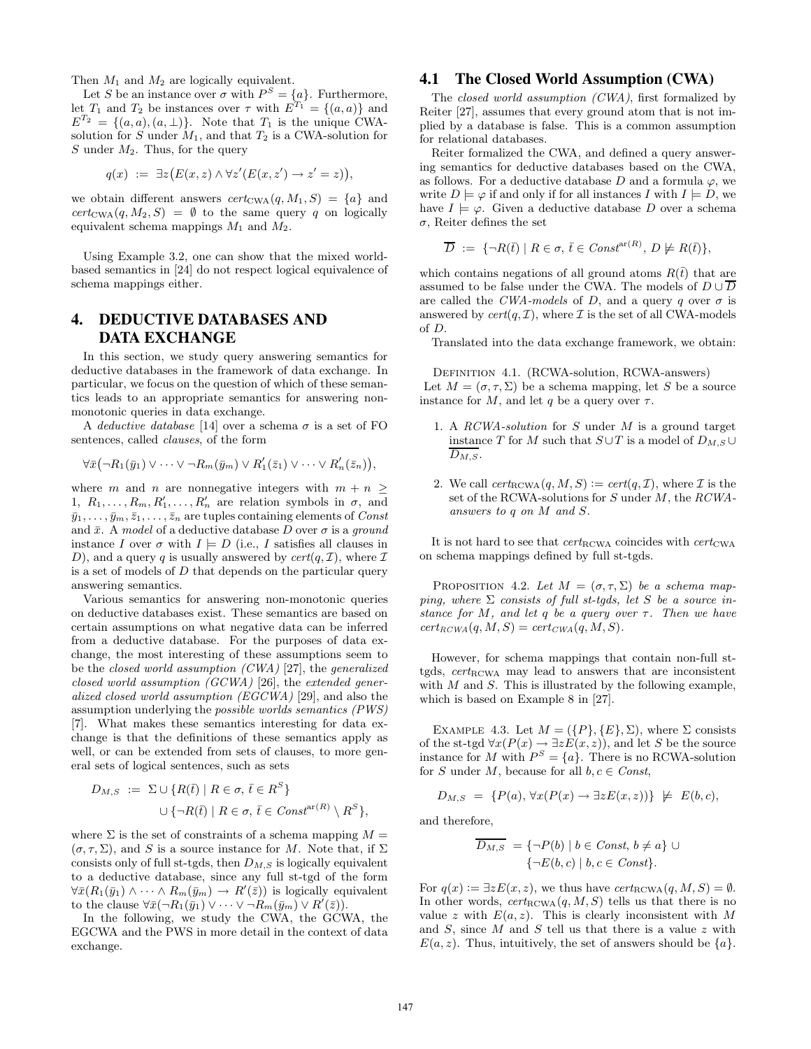Then  $M_1$  and  $M_2$  are logically equivalent.

Let S be an instance over  $\sigma$  with  $P^S = \{a\}$ . Furthermore, let  $T_1$  and  $T_2$  be instances over  $\tau$  with  $E^{T_1} = \{(a, a)\}\$ and  $E^{T_2} = \{(a, a), (a, \perp)\}\.$  Note that  $T_1$  is the unique CWAsolution for S under  $M_1$ , and that  $T_2$  is a CWA-solution for  $S$  under  $M_2$ . Thus, for the query

$$
q(x) := \exists z \big( E(x, z) \land \forall z' (E(x, z') \to z' = z) \big),
$$

we obtain different answers  $cert_{\text{CWA}}(q, M_1, S) = \{a\}$  and  $cert<sub>CWA</sub>(q, M_2, S) = \emptyset$  to the same query q on logically equivalent schema mappings  $M_1$  and  $M_2$ .

Using Example 3.2, one can show that the mixed worldbased semantics in [24] do not respect logical equivalence of schema mappings either.

# 4. DEDUCTIVE DATABASES AND DATA EXCHANGE

In this section, we study query answering semantics for deductive databases in the framework of data exchange. In particular, we focus on the question of which of these semantics leads to an appropriate semantics for answering nonmonotonic queries in data exchange.

A *deductive database* [14] over a schema  $\sigma$  is a set of FO sentences, called *clauses*, of the form

$$
\forall \bar{x} (\neg R_1(\bar{y}_1) \vee \cdots \vee \neg R_m(\bar{y}_m) \vee R'_1(\bar{z}_1) \vee \cdots \vee R'_n(\bar{z}_n)),
$$

where m and n are nonnegative integers with  $m + n \geq$ 1,  $R_1, \ldots, R_m, R'_1, \ldots, R'_n$  are relation symbols in  $\sigma$ , and  $\bar{y}_1, \ldots, \bar{y}_m, \bar{z}_1, \ldots, \bar{z}_n$  are tuples containing elements of *Const* and  $\bar{x}$ . A *model* of a deductive database D over  $\sigma$  is a *ground* instance I over  $\sigma$  with  $I \models D$  (i.e., I satisfies all clauses in D), and a query q is usually answered by  $cert(q, \mathcal{I})$ , where  $\mathcal I$ is a set of models of  $D$  that depends on the particular query answering semantics.

Various semantics for answering non-monotonic queries on deductive databases exist. These semantics are based on certain assumptions on what negative data can be inferred from a deductive database. For the purposes of data exchange, the most interesting of these assumptions seem to be the *closed world assumption (CWA)* [27], the *generalized closed world assumption (GCWA)* [26], the *extended generalized closed world assumption (EGCWA)* [29], and also the assumption underlying the *possible worlds semantics (PWS)* [7]. What makes these semantics interesting for data exchange is that the definitions of these semantics apply as well, or can be extended from sets of clauses, to more general sets of logical sentences, such as sets

$$
D_{M,S} := \Sigma \cup \{ R(\bar{t}) \mid R \in \sigma, \, \bar{t} \in R^S \}
$$
  

$$
\cup \{ \neg R(\bar{t}) \mid R \in \sigma, \, \bar{t} \in Const^{ar(R)} \setminus R^S \},
$$

where  $\Sigma$  is the set of constraints of a schema mapping  $M =$  $(\sigma, \tau, \Sigma)$ , and S is a source instance for M. Note that, if  $\Sigma$ consists only of full st-tgds, then  $D_{M,S}$  is logically equivalent to a deductive database, since any full st-tgd of the form  $\forall \bar{x}(R_1(\bar{y}_1) \wedge \cdots \wedge R_m(\bar{y}_m) \rightarrow R'(\bar{z}))$  is logically equivalent to the clause  $\forall \bar{x}(\neg R_1(\bar{y}_1) \vee \cdots \vee \neg R_m(\bar{y}_m) \vee R'(\bar{z})).$ 

In the following, we study the CWA, the GCWA, the EGCWA and the PWS in more detail in the context of data exchange.

## 4.1 The Closed World Assumption (CWA)

The *closed world assumption (CWA)*, first formalized by Reiter [27], assumes that every ground atom that is not implied by a database is false. This is a common assumption for relational databases.

Reiter formalized the CWA, and defined a query answering semantics for deductive databases based on the CWA, as follows. For a deductive database D and a formula  $\varphi$ , we write  $D \models \varphi$  if and only if for all instances I with  $I \models D$ , we have  $I \models \varphi$ . Given a deductive database D over a schema σ, Reiter defines the set

$$
\overline{D} := \{ \neg R(\overline{t}) \mid R \in \sigma, \ \overline{t} \in \mathit{Const}^{\mathrm{ar}(R)}, \ D \not\models R(\overline{t}) \},
$$

which contains negations of all ground atoms  $R(\bar{t})$  that are assumed to be false under the CWA. The models of  $D \cup \overline{D}$ are called the *CWA-models* of D, and a query q over  $\sigma$  is answered by  $cert(q, \mathcal{I})$ , where  $\mathcal I$  is the set of all CWA-models of D.

Translated into the data exchange framework, we obtain:

Definition 4.1. (RCWA-solution, RCWA-answers) Let  $M = (\sigma, \tau, \Sigma)$  be a schema mapping, let S be a source instance for M, and let q be a query over  $\tau$ .

- 1. A *RCWA-solution* for S under M is a ground target instance T for M such that  $S \cup T$  is a model of  $D_{M,S} \cup$  $\overline{D_{M,S}}$ .
- 2. We call  $cert_{RCWA}(q, M, S) := cert(q, \mathcal{I})$ , where  $\mathcal I$  is the set of the RCWA-solutions for S under M, the *RCWAanswers to* q *on* M *and* S.

It is not hard to see that *cert*<sub>RCWA</sub> coincides with *cert*<sub>CWA</sub> on schema mappings defined by full st-tgds.

PROPOSITION 4.2. Let  $M = (\sigma, \tau, \Sigma)$  be a schema map*ping, where*  $\Sigma$  *consists of full st-tgds, let*  $S$  *be a source instance for*  $M$ *, and let q be a query over*  $\tau$ *. Then we have*  $cert_{RCWA}(q, M, S) = cert_{CWA}(q, M, S).$ 

However, for schema mappings that contain non-full sttgds, *cert*<sub>RCWA</sub> may lead to answers that are inconsistent with  $M$  and  $S$ . This is illustrated by the following example, which is based on Example 8 in [27].

EXAMPLE 4.3. Let  $M = (\{P\}, \{E\}, \Sigma)$ , where  $\Sigma$  consists of the st-tgd  $\forall x (P(x) \rightarrow \exists z E(x, z))$ , and let S be the source instance for M with  $P^{S} = \{a\}$ . There is no RCWA-solution for S under M, because for all  $b, c \in Const$ ,

$$
D_{M,S} = \{ P(a), \forall x (P(x) \rightarrow \exists z E(x,z)) \} \not\models E(b,c),
$$

and therefore,

$$
\overline{D_{M,S}} = \{ \neg P(b) \mid b \in Const, b \neq a \} \cup \{ \neg E(b,c) \mid b,c \in Const \}.
$$

For  $q(x) := \exists z E(x, z)$ , we thus have  $cert_{RCWA}(q, M, S) = \emptyset$ . In other words,  $cert_{RCWA}(q, M, S)$  tells us that there is no value z with  $E(a, z)$ . This is clearly inconsistent with M and  $S$ , since  $M$  and  $S$  tell us that there is a value  $z$  with  $E(a, z)$ . Thus, intuitively, the set of answers should be  $\{a\}$ .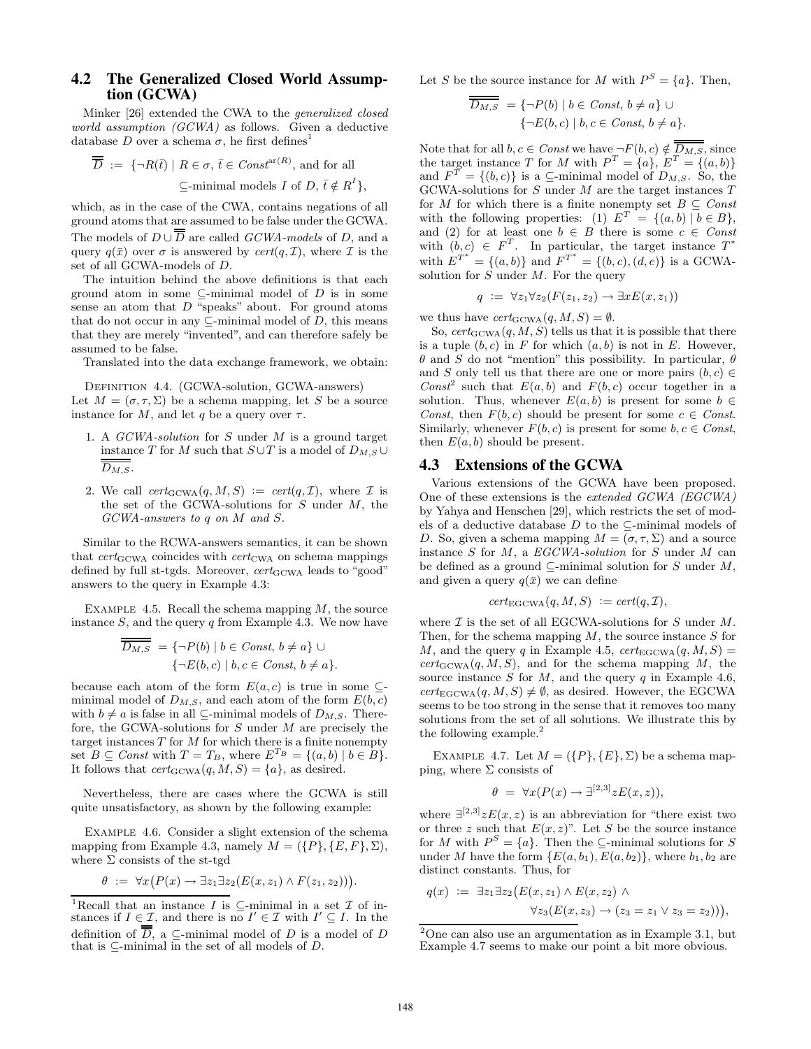## 4.2 The Generalized Closed World Assumption (GCWA)

Minker [26] extended the CWA to the *generalized closed world assumption (GCWA)* as follows. Given a deductive database D over a schema  $\sigma$ , he first defines<sup>1</sup>

$$
\overline{\overline{D}} := \{ \neg R(\overline{t}) \mid R \in \sigma, \overline{t} \in Const^{ar(R)}, \text{ and for all} \}
$$
  
 
$$
\subseteq \text{-minimal models } I \text{ of } D, \overline{t} \notin R^I \},
$$

which, as in the case of the CWA, contains negations of all ground atoms that are assumed to be false under the GCWA. The models of  $D \cup \overline{D}$  are called *GCWA-models* of D, and a query  $q(\bar{x})$  over  $\sigma$  is answered by *cert*(q,  $\mathcal{I}$ ), where  $\mathcal{I}$  is the set of all GCWA-models of D.

The intuition behind the above definitions is that each ground atom in some  $\subseteq$ -minimal model of D is in some sense an atom that  $D$  "speaks" about. For ground atoms that do not occur in any  $\subseteq$ -minimal model of D, this means that they are merely "invented", and can therefore safely be assumed to be false.

Translated into the data exchange framework, we obtain:

Definition 4.4. (GCWA-solution, GCWA-answers) Let  $M = (\sigma, \tau, \Sigma)$  be a schema mapping, let S be a source instance for  $M$ , and let q be a query over  $\tau$ .

- 1. A *GCWA-solution* for S under M is a ground target instance  $T$  for  $M$  such that  $S \cup T$  is a model of  $D_{M,S} \cup$  $\overline{D_{M,S}}$ .
- 2. We call  $cert_{GCWA}(q, M, S) := cert(q, \mathcal{I})$ , where  $\mathcal I$  is the set of the GCWA-solutions for  $S$  under  $M$ , the *GCWA-answers to* q *on* M *and* S.

Similar to the RCWA-answers semantics, it can be shown that *cert*GCWA coincides with *cert*CWA on schema mappings defined by full st-tgds. Moreover,  $cert_{\text{GCWA}}$  leads to "good" answers to the query in Example 4.3:

EXAMPLE 4.5. Recall the schema mapping  $M$ , the source instance  $S$ , and the query  $q$  from Example 4.3. We now have

$$
\overline{D_{M,S}} = \{ \neg P(b) \mid b \in Const, b \neq a \} \cup \{ \neg E(b,c) \mid b,c \in Const, b \neq a \}.
$$

because each atom of the form  $E(a, c)$  is true in some  $\subseteq$ minimal model of  $D_{M,S}$ , and each atom of the form  $E(b, c)$ with  $b \neq a$  is false in all ⊆-minimal models of  $D_{M,S}$ . Therefore, the GCWA-solutions for S under M are precisely the target instances  $T$  for  $M$  for which there is a finite nonempty set  $B \subseteq Const$  with  $T = T_B$ , where  $E^{T_B} = \{(a, b) | b \in B\}.$ It follows that  $cert_{GCWA}(q, M, S) = \{a\}$ , as desired.

Nevertheless, there are cases where the GCWA is still quite unsatisfactory, as shown by the following example:

Example 4.6. Consider a slight extension of the schema mapping from Example 4.3, namely  $M = (\{P\}, \{E, F\}, \Sigma)$ , where  $\Sigma$  consists of the st-tgd

$$
\theta := \forall x (P(x) \to \exists z_1 \exists z_2 (E(x, z_1) \land F(z_1, z_2))).
$$

Let S be the source instance for M with  $P^S = \{a\}$ . Then,

$$
\overline{D_{M,S}} = \{ \neg P(b) \mid b \in Const, b \neq a \} \cup \{ \neg E(b,c) \mid b,c \in Const, b \neq a \}.
$$

Note that for all  $b, c \in Const$  we have  $\neg F(b, c) \notin D_{M,S}$ , since the target instance T for M with  $P^T = \{a\}, E^T = \{(a, b)\}$ and  $F^T = \{(b, c)\}\$ is a ⊆-minimal model of  $D_{M, S}$ . So, the GCWA-solutions for  $S$  under  $M$  are the target instances  $T$ for M for which there is a finite nonempty set  $B \subseteq Const$ with the following properties: (1)  $E^T = \{(a, b) | b \in B\},\$ and (2) for at least one  $b \in B$  there is some  $c \in Const$ with  $(b, c) \in F^T$ . In particular, the target instance  $T^*$ with  $E^{T^{*}} = \{(a, b)\}\$  and  $F^{T^{*}} = \{(b, c), (d, e)\}\$ is a GCWAsolution for  $S$  under  $M$ . For the query

$$
q := \forall z_1 \forall z_2 (F(z_1, z_2) \rightarrow \exists x E(x, z_1))
$$

we thus have  $cert_{GCWA}(q, M, S) = \emptyset$ .

So,  $cert_{GCWA}(q, M, S)$  tells us that it is possible that there is a tuple  $(b, c)$  in F for which  $(a, b)$  is not in E. However, θ and S do not "mention" this possibility. In particular, θ and S only tell us that there are one or more pairs  $(b, c) \in$ Const<sup>2</sup> such that  $E(a, b)$  and  $F(b, c)$  occur together in a solution. Thus, whenever  $E(a,b)$  is present for some  $b \in$ *Const*, then  $F(b, c)$  should be present for some  $c \in Const$ . Similarly, whenever  $F(b, c)$  is present for some  $b, c \in Const$ , then  $E(a,b)$  should be present.

## 4.3 Extensions of the GCWA

Various extensions of the GCWA have been proposed. One of these extensions is the *extended GCWA (EGCWA)* by Yahya and Henschen [29], which restricts the set of models of a deductive database  $D$  to the ⊂-minimal models of D. So, given a schema mapping  $M = (\sigma, \tau, \Sigma)$  and a source instance S for M, a *EGCWA-solution* for S under M can be defined as a ground  $\subseteq$ -minimal solution for S under M, and given a query  $q(\bar{x})$  we can define

$$
cert_{\text{EGCWA}}(q, M, S) := cert(q, \mathcal{I}),
$$

where  $\mathcal I$  is the set of all EGCWA-solutions for  $S$  under  $M$ . Then, for the schema mapping  $M$ , the source instance  $S$  for M, and the query q in Example 4.5,  $cert_{\text{EGCWA}}(q, M, S) =$  $cert_{\text{GCWA}}(q, M, S)$ , and for the schema mapping M, the source instance S for M, and the query  $q$  in Example 4.6,  $cert_{\text{EGCWA}}(q, M, S) \neq \emptyset$ , as desired. However, the EGCWA seems to be too strong in the sense that it removes too many solutions from the set of all solutions. We illustrate this by the following example.<sup>2</sup>

EXAMPLE 4.7. Let  $M = (\{P\}, \{E\}, \Sigma)$  be a schema mapping, where  $\Sigma$  consists of

$$
\theta = \forall x (P(x) \rightarrow \exists^{[2,3]} z E(x,z)),
$$

where  $\exists^{[2,3]} z E(x, z)$  is an abbreviation for "there exist two or three z such that  $E(x, z)$ ". Let S be the source instance for M with  $P^S = \{a\}$ . Then the  $\subseteq$ -minimal solutions for S under M have the form  $\{E(a, b_1), E(a, b_2)\}$ , where  $b_1, b_2$  are distinct constants. Thus, for

$$
q(x) := \exists z_1 \exists z_2 (E(x, z_1) \land E(x, z_2) \land \forall z_3 (E(x, z_3) \rightarrow (z_3 = z_1 \lor z_3 = z_2))),
$$

<sup>&</sup>lt;sup>1</sup>Recall that an instance *I* is  $\subseteq$ -minimal in a set  $\mathcal I$  of instances if  $I \in \mathcal{I}$ , and there is no  $I' \in \mathcal{I}$  with  $I' \subseteq I$ . In the definition of  $\overline{D}$ , a ⊆-minimal model of D is a model of D that is  $\subseteq$ -minimal in the set of all models of D.

<sup>2</sup>One can also use an argumentation as in Example 3.1, but Example 4.7 seems to make our point a bit more obvious.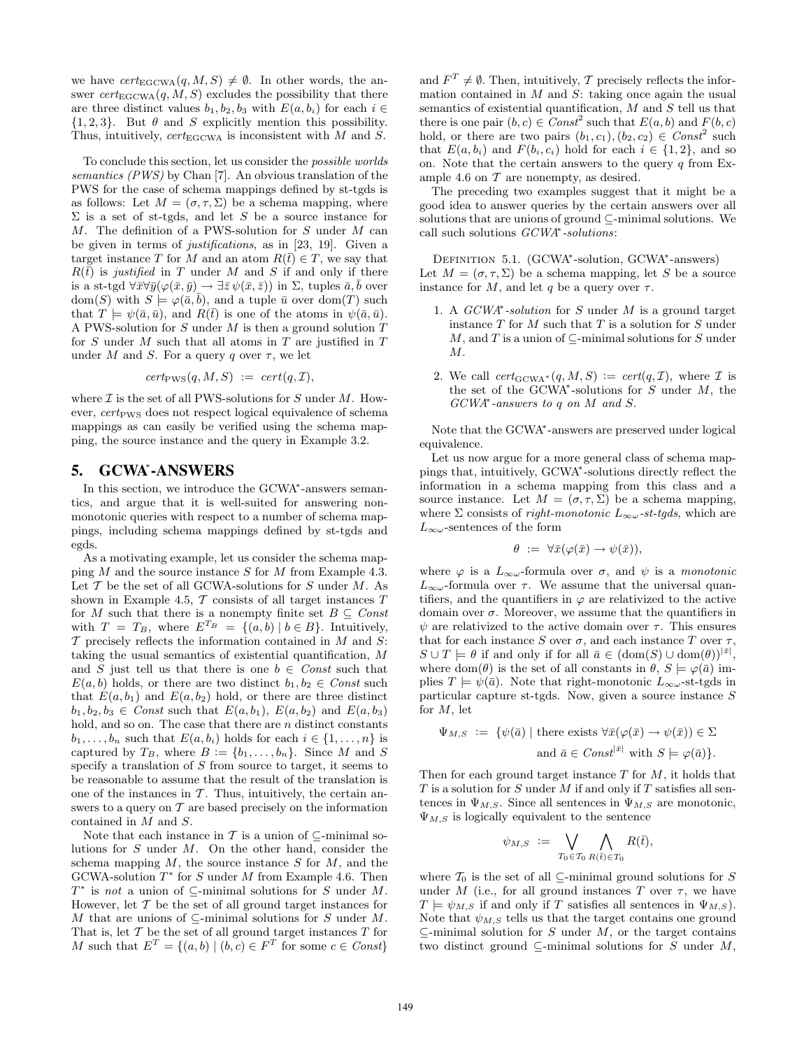we have  $cert_{\text{EGCWA}}(q, M, S) \neq \emptyset$ . In other words, the answer  $cert_{\text{EGCWA}}(q, M, S)$  excludes the possibility that there are three distinct values  $b_1, b_2, b_3$  with  $E(a, b_i)$  for each  $i \in$  $\{1, 2, 3\}$ . But  $\theta$  and S explicitly mention this possibility. Thus, intuitively,  $cert_{\text{EGCWA}}$  is inconsistent with M and S.

To conclude this section, let us consider the *possible worlds semantics (PWS)* by Chan [7]. An obvious translation of the PWS for the case of schema mappings defined by st-tgds is as follows: Let  $M = (\sigma, \tau, \Sigma)$  be a schema mapping, where  $\Sigma$  is a set of st-tgds, and let S be a source instance for M. The definition of a PWS-solution for S under M can be given in terms of *justifications*, as in [23, 19]. Given a target instance T for M and an atom  $R(\bar{t}) \in T$ , we say that  $R(\bar{t})$  is *justified* in T under M and S if and only if there is a st-tgd  $\forall \bar{x} \forall \bar{y}(\varphi(\bar{x}, \bar{y}) \rightarrow \exists \bar{z} \psi(\bar{x}, \bar{z}))$  in  $\Sigma$ , tuples  $\bar{a}, \bar{b}$  over dom(S) with  $S \models \varphi(\bar{a}, b)$ , and a tuple  $\bar{u}$  over dom(T) such that  $T \models \psi(\bar{a}, \bar{u})$ , and  $R(\bar{t})$  is one of the atoms in  $\psi(\bar{a}, \bar{u})$ . A PWS-solution for  $S$  under  $M$  is then a ground solution  $T$ for  $S$  under  $M$  such that all atoms in  $T$  are justified in  $T$ under M and S. For a query q over  $\tau$ , we let

$$
cert_{\text{PWS}}(q, M, S) := cert(q, \mathcal{I}),
$$

where  $\mathcal I$  is the set of all PWS-solutions for  $S$  under  $M$ . However, *cert*<sub>PWS</sub> does not respect logical equivalence of schema mappings as can easily be verified using the schema mapping, the source instance and the query in Example 3.2.

# 5. GCWA\* -ANSWERS

In this section, we introduce the GCWA<sup>∗</sup> -answers semantics, and argue that it is well-suited for answering nonmonotonic queries with respect to a number of schema mappings, including schema mappings defined by st-tgds and egds.

As a motivating example, let us consider the schema mapping M and the source instance S for M from Example 4.3. Let  $\mathcal T$  be the set of all GCWA-solutions for  $S$  under  $M$ . As shown in Example 4.5,  $\mathcal T$  consists of all target instances  $T$ for  $M$  such that there is a nonempty finite set  $B \subseteq Const$ with  $T = T_B$ , where  $E^{T_B} = \{(a, b) | b \in B\}$ . Intuitively,  $\mathcal T$  precisely reflects the information contained in  $M$  and  $S$ : taking the usual semantics of existential quantification, M and S just tell us that there is one  $b \in Const$  such that  $E(a, b)$  holds, or there are two distinct  $b_1, b_2 \in Const$  such that  $E(a,b_1)$  and  $E(a,b_2)$  hold, or there are three distinct  $b_1, b_2, b_3 \in \text{Const}$  such that  $E(a, b_1), E(a, b_2)$  and  $E(a, b_3)$ hold, and so on. The case that there are  $n$  distinct constants  $b_1, \ldots, b_n$  such that  $E(a, b_i)$  holds for each  $i \in \{1, \ldots, n\}$  is captured by  $T_B$ , where  $B := \{b_1, \ldots, b_n\}$ . Since M and S specify a translation of S from source to target, it seems to be reasonable to assume that the result of the translation is one of the instances in  $\mathcal T$ . Thus, intuitively, the certain answers to a query on  $\mathcal T$  are based precisely on the information contained in M and S.

Note that each instance in  $\mathcal T$  is a union of  $\subset$ -minimal solutions for S under M. On the other hand, consider the schema mapping  $M$ , the source instance  $S$  for  $M$ , and the GCWA-solution  $T^*$  for S under M from Example 4.6. Then  $T^*$  is *not* a union of  $\subseteq$ -minimal solutions for S under M. However, let  $\mathcal T$  be the set of all ground target instances for M that are unions of  $\subseteq$ -minimal solutions for S under M. That is, let  $T$  be the set of all ground target instances  $T$  for M such that  $E^T = \{(a, b) | (b, c) \in F^T \text{ for some } c \in Const\}$ 

and  $F^T \neq \emptyset$ . Then, intuitively, T precisely reflects the information contained in  $M$  and  $S$ : taking once again the usual semantics of existential quantification,  $M$  and  $S$  tell us that there is one pair  $(b, c) \in Const^2$  such that  $E(a, b)$  and  $F(b, c)$ hold, or there are two pairs  $(b_1, c_1), (b_2, c_2) \in Const^2$  such that  $E(a, b_i)$  and  $F(b_i, c_i)$  hold for each  $i \in \{1, 2\}$ , and so on. Note that the certain answers to the query  $q$  from Example 4.6 on  $\mathcal T$  are nonempty, as desired.

The preceding two examples suggest that it might be a good idea to answer queries by the certain answers over all solutions that are unions of ground ⊆-minimal solutions. We call such solutions *GCWA*<sup>∗</sup> *-solutions*:

Definition 5.1. (GCWA<sup>∗</sup> -solution, GCWA<sup>∗</sup> -answers) Let  $M = (\sigma, \tau, \Sigma)$  be a schema mapping, let S be a source instance for M, and let q be a query over  $\tau$ .

- 1. A *GCWA*<sup>∗</sup> *-solution* for S under M is a ground target instance  $T$  for  $M$  such that  $T$  is a solution for  $S$  under M, and T is a union of  $\subseteq$ -minimal solutions for S under M.
- 2. We call  $cert_{GCWA^*}(q, M, S) := cert(q, \mathcal{I})$ , where  $\mathcal I$  is the set of the GCWA $^*$ -solutions for S under M, the *GCWA*<sup>∗</sup> *-answers to* q *on* M *and* S.

Note that the GCWA<sup>∗</sup> -answers are preserved under logical equivalence.

Let us now argue for a more general class of schema mappings that, intuitively, GCWA<sup>∗</sup> -solutions directly reflect the information in a schema mapping from this class and a source instance. Let  $M = (\sigma, \tau, \Sigma)$  be a schema mapping, where  $\Sigma$  consists of *right-monotonic*  $L_{\infty} \omega$ -st-tgds, which are  $L_{\infty\omega}$ -sentences of the form

$$
\theta := \forall \bar{x}(\varphi(\bar{x}) \to \psi(\bar{x})),
$$

where  $\varphi$  is a  $L_{\infty}$ -formula over  $\sigma$ , and  $\psi$  is a *monotonic*  $L_{\infty\omega}$ -formula over  $\tau$ . We assume that the universal quantifiers, and the quantifiers in  $\varphi$  are relativized to the active domain over  $\sigma$ . Moreover, we assume that the quantifiers in  $\psi$  are relativized to the active domain over  $\tau$ . This ensures that for each instance S over  $\sigma$ , and each instance T over  $\tau$ ,  $S \cup T \models \theta$  if and only if for all  $\bar{a} \in (\text{dom}(S) \cup \text{dom}(\theta))^{|\bar{x}|},$ where dom( $\theta$ ) is the set of all constants in  $\theta$ ,  $S \models \varphi(\bar{a})$  implies  $T \models \psi(\bar{a})$ . Note that right-monotonic  $L_{\infty \omega}$ -st-tgds in particular capture st-tgds. Now, given a source instance S for M, let

$$
\Psi_{M,S} := \{ \psi(\bar{a}) \mid \text{there exists } \forall \bar{x}(\varphi(\bar{x}) \to \psi(\bar{x})) \in \Sigma
$$
  
and  $\bar{a} \in Const^{|\bar{x}|}$  with  $S \models \varphi(\bar{a}) \}.$ 

Then for each ground target instance  $T$  for  $M$ , it holds that  $T$  is a solution for  $S$  under  $M$  if and only if  $T$  satisfies all sentences in  $\Psi_{M,S}$ . Since all sentences in  $\Psi_{M,S}$  are monotonic,  $\Psi_{M,S}$  is logically equivalent to the sentence

$$
\psi_{M,S} := \bigvee_{T_0 \in \mathcal{T}_0} \bigwedge_{R(\bar{t}) \in T_0} R(\bar{t}),
$$

where  $\mathcal{T}_0$  is the set of all ⊆-minimal ground solutions for S under M (i.e., for all ground instances T over  $\tau$ , we have  $T \models \psi_{M,S}$  if and only if T satisfies all sentences in  $\Psi_{M,S}$ ). Note that  $\psi_{M,S}$  tells us that the target contains one ground  $\subseteq$ -minimal solution for S under M, or the target contains two distinct ground  $\subseteq$ -minimal solutions for S under M,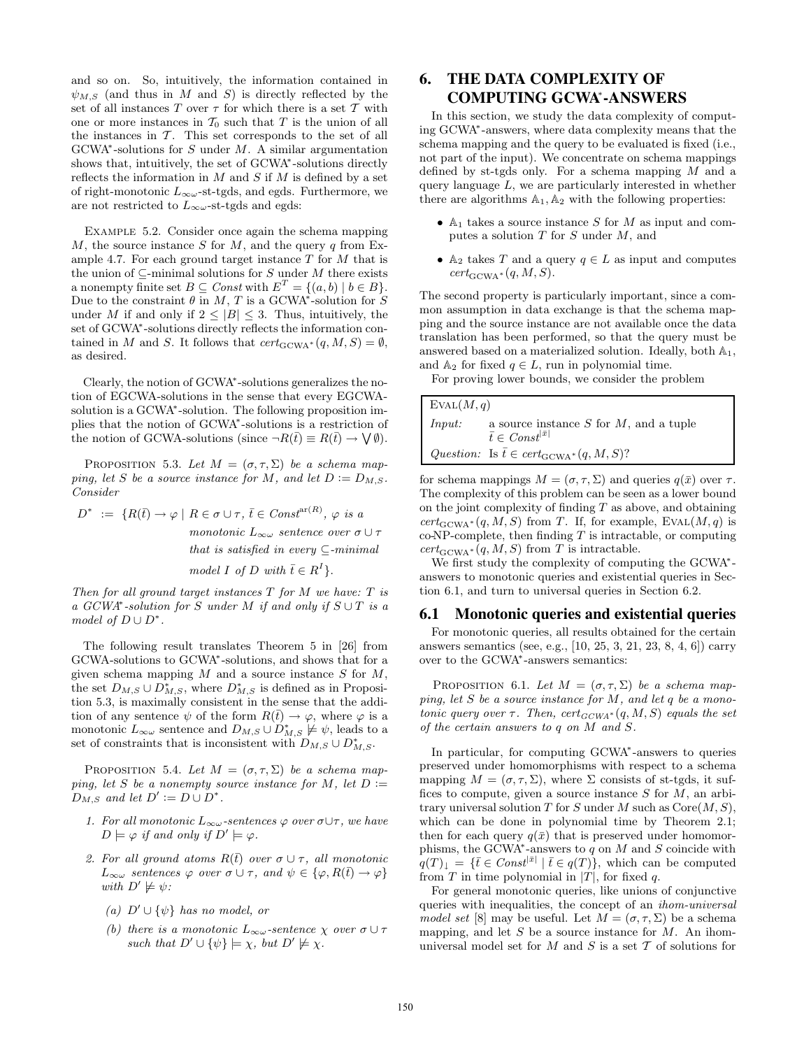and so on. So, intuitively, the information contained in  $\psi_{M,S}$  (and thus in M and S) is directly reflected by the set of all instances T over  $\tau$  for which there is a set T with one or more instances in  $\mathcal{T}_0$  such that T is the union of all the instances in  $T$ . This set corresponds to the set of all  $GCWA<sup>*</sup>$ -solutions for S under M. A similar argumentation shows that, intuitively, the set of GCWA<sup>\*</sup>-solutions directly reflects the information in  $M$  and  $S$  if  $M$  is defined by a set of right-monotonic  $L_{\infty\omega}$ -st-tgds, and egds. Furthermore, we are not restricted to  $L_{\infty\omega}$ -st-tgds and egds:

Example 5.2. Consider once again the schema mapping M, the source instance S for M, and the query q from Example 4.7. For each ground target instance  $T$  for  $M$  that is the union of  $\subseteq$ -minimal solutions for S under M there exists a nonempty finite set  $B \subseteq Const$  with  $E^T = \{(a, b) | b \in B\}.$ Due to the constraint  $\theta$  in M, T is a GCWA<sup>\*</sup>-solution for S under M if and only if  $2 \leq |B| \leq 3$ . Thus, intuitively, the set of GCWA<sup>∗</sup> -solutions directly reflects the information contained in M and S. It follows that  $cert_{\text{GCWA}^*}(q, M, S) = \emptyset$ , as desired.

Clearly, the notion of GCWA<sup>∗</sup> -solutions generalizes the notion of EGCWA-solutions in the sense that every EGCWAsolution is a GCWA<sup>\*</sup>-solution. The following proposition implies that the notion of GCWA<sup>∗</sup> -solutions is a restriction of the notion of GCWA-solutions (since  $\neg R(\bar{t}) \equiv R(\bar{t}) \rightarrow \bigvee \emptyset$ ).

PROPOSITION 5.3. Let  $M = (\sigma, \tau, \Sigma)$  be a schema map*ping, let* S *be a source instance for* M, and let  $D := D_{M,S}$ . *Consider*

 $D^* := \{ R(\bar{t}) \rightarrow \varphi \mid R \in \sigma \cup \tau, \, \bar{t} \in Const^{\text{ar}(R)}, \, \varphi \text{ is a} \}$ *monotonic*  $L_{\infty}$  *sentence over*  $\sigma \cup \tau$ *that is satisfied in every* ⊆*-minimal model I of D with*  $\bar{t} \in R^I$  }.

*Then for all ground target instances* T *for* M *we have:* T *is a GCWA*<sup>∗</sup> *-solution for* S *under* M *if and only if* S ∪ T *is a model of*  $D \cup D^*$ *.* 

The following result translates Theorem 5 in [26] from GCWA-solutions to GCWA<sup>∗</sup> -solutions, and shows that for a given schema mapping  $M$  and a source instance  $S$  for  $M$ , the set  $D_{M,S} \cup D_{M,S}^*$ , where  $D_{M,S}^*$  is defined as in Proposition 5.3, is maximally consistent in the sense that the addition of any sentence  $\psi$  of the form  $R(\bar{t}) \to \varphi$ , where  $\varphi$  is a monotonic  $L_{\infty \omega}$  sentence and  $D_{M,S} \cup D_{M,S}^* \not\models \psi$ , leads to a set of constraints that is inconsistent with  $D_{M,S} \cup D_{M,S}^*$ .

PROPOSITION 5.4. Let  $M = (\sigma, \tau, \Sigma)$  be a schema map*ping, let* S *be a nonempty source instance for* M, let  $D :=$  $D_{M,S}$  and let  $D' := D \cup D^*$ .

- *1. For all monotonic*  $L_{\infty\omega}$ -sentences  $\varphi$  *over*  $\sigma \cup \tau$ *, we have*  $D \models \varphi$  *if and only if*  $D' \models \varphi$ *.*
- *2. For all ground atoms*  $R(\bar{t})$  *over*  $\sigma \cup \tau$ *, all monotonic*  $L_{\infty} \omega$  *sentences*  $\varphi$  *over*  $\sigma \cup \tau$ *, and*  $\psi \in {\varphi, R(\bar{t}) \to \varphi}$ *with*  $D' \not\models \psi$ *:* 
	- *(a)*  $D' \cup \{\psi\}$  *has no model, or*
	- *(b) there is a monotonic*  $L_{\infty\omega}$ -sentence  $\chi$  *over*  $\sigma \cup \tau$ *such that*  $D' \cup \{\psi\} \models \chi$ *, but*  $D' \not\models \chi$ *.*

# 6. THE DATA COMPLEXITY OF COMPUTING GCWA\* -ANSWERS

In this section, we study the data complexity of computing GCWA<sup>∗</sup> -answers, where data complexity means that the schema mapping and the query to be evaluated is fixed (i.e., not part of the input). We concentrate on schema mappings defined by st-tgds only. For a schema mapping  $M$  and a query language  $L$ , we are particularly interested in whether there are algorithms  $A_1$ ,  $A_2$  with the following properties:

- $\mathbb{A}_1$  takes a source instance S for M as input and computes a solution  $T$  for  $S$  under  $M$ , and
- $\mathbb{A}_2$  takes T and a query  $q \in L$  as input and computes  $cert_{\text{GCWA}^*}(q, M, S).$

The second property is particularly important, since a common assumption in data exchange is that the schema mapping and the source instance are not available once the data translation has been performed, so that the query must be answered based on a materialized solution. Ideally, both  $\mathbb{A}_1$ , and  $\mathbb{A}_2$  for fixed  $q \in L$ , run in polynomial time.

For proving lower bounds, we consider the problem

| EVAL(M, q) |                                                                                |
|------------|--------------------------------------------------------------------------------|
| Input:     | a source instance $S$ for $M$ , and a tuple<br>$\bar{t} \in Const^{ \bar{x} }$ |
|            | Question: Is $\bar{t} \in cert_{\text{GCWA}^*}(q, M, S)$ ?                     |

for schema mappings  $M = (\sigma, \tau, \Sigma)$  and queries  $q(\bar{x})$  over  $\tau$ . The complexity of this problem can be seen as a lower bound on the joint complexity of finding  $T$  as above, and obtaining  $cert_{\text{GCWA}}*(q, M, S)$  from T. If, for example, EVAL $(M, q)$  is  $co-NP$ -complete, then finding  $T$  is intractable, or computing  $cert_{GCWA^*}(q, M, S)$  from T is intractable.

We first study the complexity of computing the GCWA<sup>∗</sup> answers to monotonic queries and existential queries in Section 6.1, and turn to universal queries in Section 6.2.

#### 6.1 Monotonic queries and existential queries

For monotonic queries, all results obtained for the certain answers semantics (see, e.g., [10, 25, 3, 21, 23, 8, 4, 6]) carry over to the GCWA<sup>∗</sup> -answers semantics:

PROPOSITION 6.1. Let  $M = (\sigma, \tau, \Sigma)$  be a schema map*ping, let* S *be a source instance for* M*, and let* q *be a monotonic query over*  $\tau$ *. Then, cert*<sub>GCWA</sub>\*  $(q, M, S)$  *equals the set of the certain answers to* q *on* M *and* S*.*

In particular, for computing GCWA<sup>∗</sup> -answers to queries preserved under homomorphisms with respect to a schema mapping  $M = (\sigma, \tau, \Sigma)$ , where  $\Sigma$  consists of st-tgds, it suffices to compute, given a source instance  $S$  for  $M$ , an arbitrary universal solution T for S under M such as  $Core(M, S)$ , which can be done in polynomial time by Theorem 2.1; then for each query  $q(\bar{x})$  that is preserved under homomorphisms, the GCWA<sup>\*</sup>-answers to  $q$  on  $M$  and  $S$  coincide with  $q(T)$ <sub>↓</sub> = { $\bar{t} \in Const^{|\bar{x}|}$  |  $\bar{t} \in q(T)$ }, which can be computed from T in time polynomial in  $|T|$ , for fixed q.

For general monotonic queries, like unions of conjunctive queries with inequalities, the concept of an *ihom-universal model set* [8] may be useful. Let  $M = (\sigma, \tau, \Sigma)$  be a schema mapping, and let  $S$  be a source instance for  $M$ . An ihomuniversal model set for  $M$  and  $S$  is a set  $T$  of solutions for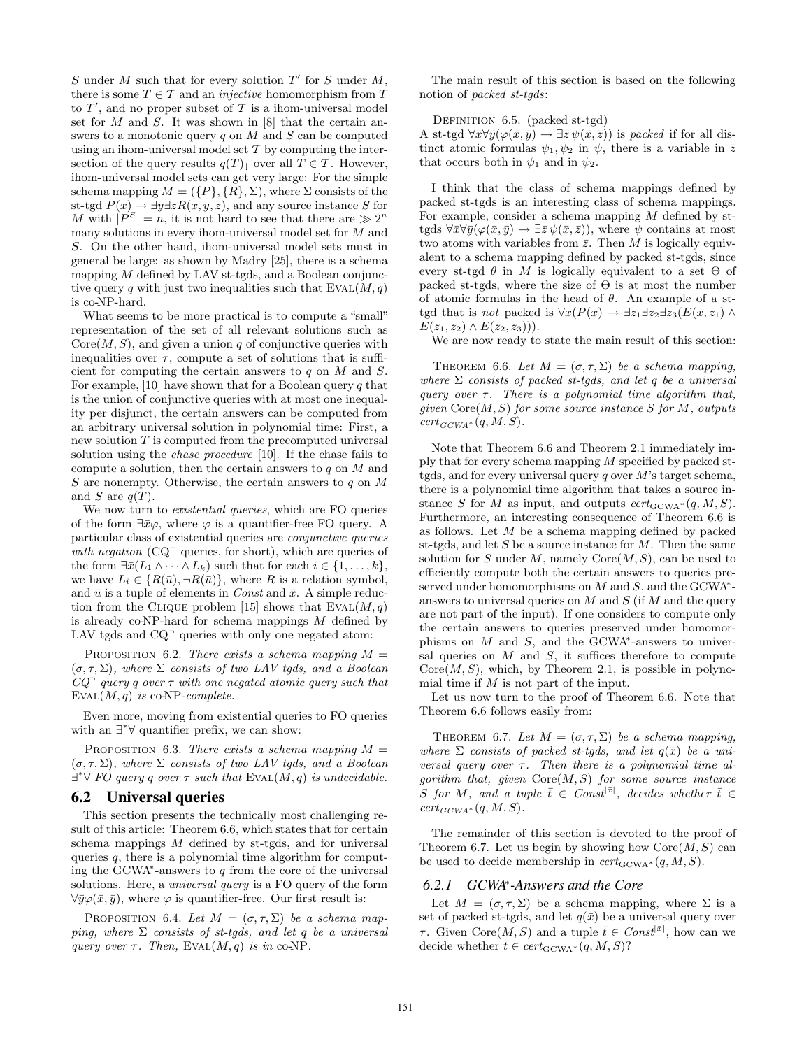S under M such that for every solution  $T'$  for S under M, there is some  $T \in \mathcal{T}$  and an *injective* homomorphism from  $T$ to  $T'$ , and no proper subset of  $T$  is a ihom-universal model set for  $M$  and  $S$ . It was shown in  $[8]$  that the certain answers to a monotonic query q on  $M$  and  $S$  can be computed using an ihom-universal model set  $T$  by computing the intersection of the query results  $q(T)_+$  over all  $T \in \mathcal{T}$ . However, ihom-universal model sets can get very large: For the simple schema mapping  $M = (\{P\}, \{R\}, \Sigma)$ , where  $\Sigma$  consists of the st-tgd  $P(x) \rightarrow \exists y \exists z R(x,y,z)$ , and any source instance S for M with  $|P^S|=n$ , it is not hard to see that there are  $\gg 2^n$ many solutions in every ihom-universal model set for M and S. On the other hand, ihom-universal model sets must in general be large: as shown by Madry [25], there is a schema mapping  $M$  defined by LAV st-tgds, and a Boolean conjunctive query q with just two inequalities such that  $EVAL(M, q)$ is co-NP-hard.

What seems to be more practical is to compute a "small" representation of the set of all relevant solutions such as  $Core(M, S)$ , and given a union q of conjunctive queries with inequalities over  $\tau$ , compute a set of solutions that is sufficient for computing the certain answers to  $q$  on  $M$  and  $S$ . For example,  $[10]$  have shown that for a Boolean query q that is the union of conjunctive queries with at most one inequality per disjunct, the certain answers can be computed from an arbitrary universal solution in polynomial time: First, a new solution T is computed from the precomputed universal solution using the *chase procedure* [10]. If the chase fails to compute a solution, then the certain answers to  $q$  on  $M$  and S are nonempty. Otherwise, the certain answers to  $q$  on M and S are  $q(T)$ .

We now turn to *existential queries*, which are FO queries of the form  $\exists \bar{x}\varphi$ , where  $\varphi$  is a quantifier-free FO query. A particular class of existential queries are *conjunctive queries* with negation (CQ<sup>-</sup> queries, for short), which are queries of the form  $\exists \bar{x}(L_1 \wedge \cdots \wedge L_k)$  such that for each  $i \in \{1, \ldots, k\},\$ we have  $L_i \in \{R(\bar{u}), \neg R(\bar{u})\}$ , where R is a relation symbol, and  $\bar{u}$  is a tuple of elements in *Const* and  $\bar{x}$ . A simple reduction from the CLIQUE problem [15] shows that  $EVAL(M, q)$ is already co-NP-hard for schema mappings M defined by LAV tgds and CQ<sup>-</sup> queries with only one negated atom:

PROPOSITION 6.2. *There exists a schema mapping*  $M =$ (σ, τ, Σ)*, where* Σ *consists of two LAV tgds, and a Boolean CQ*<sup>¬</sup> *query* q *over* τ *with one negated atomic query such that* Eval(M, q) *is* co-NP*-complete.*

Even more, moving from existential queries to FO queries with an ∃<sup>\*</sup>∀ quantifier prefix, we can show:

PROPOSITION 6.3. *There exists a schema mapping*  $M =$ (σ, τ, Σ)*, where* Σ *consists of two LAV tgds, and a Boolean*  $\exists^* \forall$  FO query q over  $\tau$  such that  $E$ VAL $(M, q)$  is undecidable.

#### 6.2 Universal queries

This section presents the technically most challenging result of this article: Theorem 6.6, which states that for certain schema mappings M defined by st-tgds, and for universal queries  $q$ , there is a polynomial time algorithm for computing the GCWA $^*$ -answers to  $q$  from the core of the universal solutions. Here, a *universal query* is a FO query of the form  $\forall \bar{y}\varphi(\bar{x}, \bar{y})$ , where  $\varphi$  is quantifier-free. Our first result is:

PROPOSITION 6.4. Let  $M = (\sigma, \tau, \Sigma)$  be a schema map*ping, where* Σ *consists of st-tgds, and let* q *be a universal query over*  $\tau$ *. Then,* EVAL $(M, q)$  *is in* co-NP.

The main result of this section is based on the following notion of *packed st-tgds*:

DEFINITION 6.5. (packed st-tgd)

A st-tgd  $\forall \bar{x} \forall \bar{y}(\varphi(\bar{x}, \bar{y}) \rightarrow \exists \bar{z} \psi(\bar{x}, \bar{z}))$  is *packed* if for all distinct atomic formulas  $\psi_1, \psi_2$  in  $\psi$ , there is a variable in  $\bar{z}$ that occurs both in  $\psi_1$  and in  $\psi_2$ .

I think that the class of schema mappings defined by packed st-tgds is an interesting class of schema mappings. For example, consider a schema mapping M defined by sttgds  $\forall \bar{x} \forall \bar{y}(\varphi(\bar{x}, \bar{y}) \rightarrow \exists \bar{z} \psi(\bar{x}, \bar{z}))$ , where  $\psi$  contains at most two atoms with variables from  $\bar{z}$ . Then M is logically equivalent to a schema mapping defined by packed st-tgds, since every st-tgd  $\theta$  in M is logically equivalent to a set  $\Theta$  of packed st-tgds, where the size of  $\Theta$  is at most the number of atomic formulas in the head of  $\theta$ . An example of a sttgd that is *not* packed is  $\forall x (P(x) \rightarrow \exists z_1 \exists z_2 \exists z_3 (E(x, z_1) \land$  $E(z_1, z_2) \wedge E(z_2, z_3))$ .

We are now ready to state the main result of this section:

THEOREM 6.6. Let  $M = (\sigma, \tau, \Sigma)$  be a schema mapping, *where* Σ *consists of packed st-tgds, and let* q *be a universal query over*  $τ$ *. There is a polynomial time algorithm that, given* Core(M, S) *for some source instance* S *for* M*, outputs*  $cert_{GCWA^*}(q, M, S)$ .

Note that Theorem 6.6 and Theorem 2.1 immediately imply that for every schema mapping  $M$  specified by packed sttgds, and for every universal query q over  $M$ 's target schema, there is a polynomial time algorithm that takes a source instance S for M as input, and outputs  $cert_{GCWA} * (q, M, S)$ . Furthermore, an interesting consequence of Theorem 6.6 is as follows. Let  $M$  be a schema mapping defined by packed st-tgds, and let  $S$  be a source instance for  $M$ . Then the same solution for S under M, namely  $Core(M, S)$ , can be used to efficiently compute both the certain answers to queries preserved under homomorphisms on  $M$  and  $S$ , and the GCWA<sup>\*</sup>answers to universal queries on M and S (if M and the query are not part of the input). If one considers to compute only the certain answers to queries preserved under homomorphisms on  $M$  and  $S$ , and the GCWA $^*$ -answers to universal queries on  $M$  and  $S$ , it suffices therefore to compute  $Core(M, S)$ , which, by Theorem 2.1, is possible in polynomial time if  $M$  is not part of the input.

Let us now turn to the proof of Theorem 6.6. Note that Theorem 6.6 follows easily from:

THEOREM 6.7. Let  $M = (\sigma, \tau, \Sigma)$  be a schema mapping, where  $\Sigma$  *consists of packed st-tgds, and let*  $q(\bar{x})$  *be a universal query over* τ. Then there is a polynomial time al*gorithm that, given* Core(M, S) *for some source instance* S for M, and a tuple  $\bar{t} \in$  Const<sup> $|\bar{x}|$ </sup>, decides whether  $\bar{t} \in$  $cert_{GCWA^*}(q, M, S)$ .

The remainder of this section is devoted to the proof of Theorem 6.7. Let us begin by showing how  $Core(M, S)$  can be used to decide membership in  $cert_{\text{GCWA}}*(q, M, S)$ .

## *6.2.1 GCWA*<sup>∗</sup> *-Answers and the Core*

Let  $M = (\sigma, \tau, \Sigma)$  be a schema mapping, where  $\Sigma$  is a set of packed st-tgds, and let  $q(\bar{x})$  be a universal query over τ. Given Core $(M, S)$  and a tuple  $\bar{t} \in Const^{|\bar{x}|}$ , how can we decide whether  $\bar{t} \in cert_{\text{GCWA}^*}(q, M, S)$ ?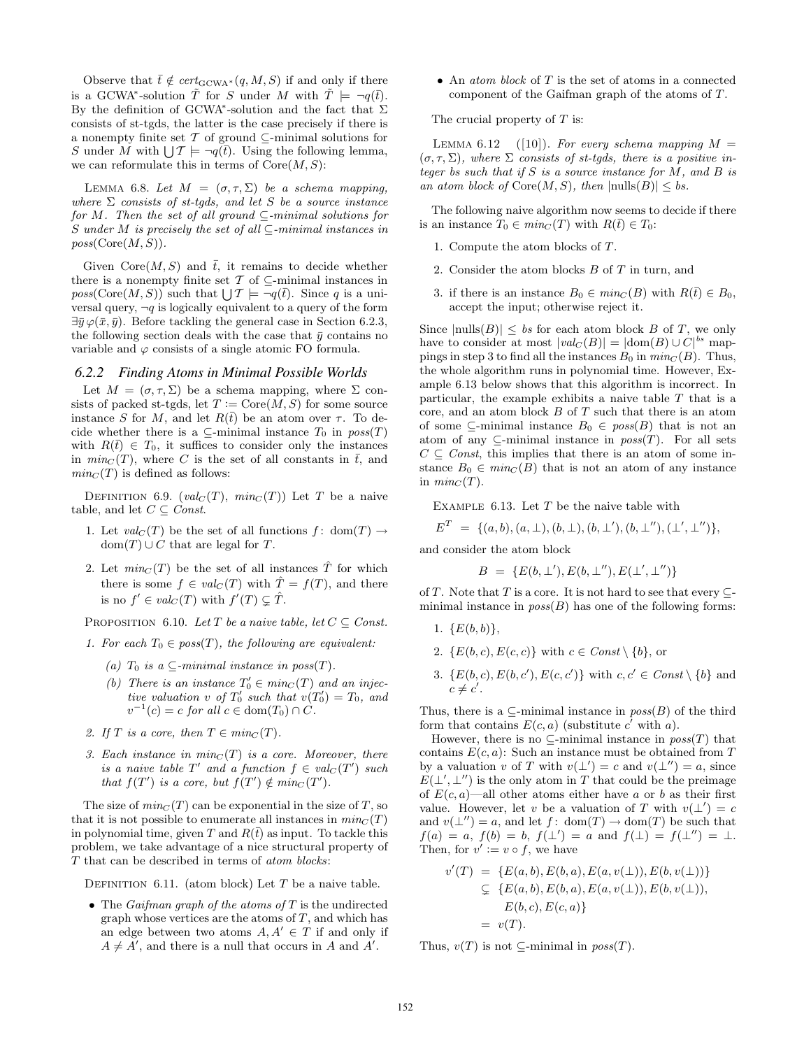Observe that  $\bar{t} \notin cert_{\text{GCWA}^*}(q, M, S)$  if and only if there is a GCWA<sup>\*</sup>-solution  $\tilde{T}$  for S under M with  $\tilde{T} \models \neg q(\bar{t})$ . By the definition of GCWA<sup>\*</sup>-solution and the fact that  $\Sigma$ consists of st-tgds, the latter is the case precisely if there is a nonempty finite set  $\mathcal T$  of ground  $\subseteq$ -minimal solutions for S under M with  $\bigcup \mathcal{T} \models \neg q(\bar{t})$ . Using the following lemma, we can reformulate this in terms of  $Core(M, S)$ :

LEMMA 6.8. Let  $M = (\sigma, \tau, \Sigma)$  be a schema mapping, *where* Σ *consists of st-tgds, and let* S *be a source instance for* M*. Then the set of all ground* ⊆*-minimal solutions for* S *under* M *is precisely the set of all* ⊆*-minimal instances in*  $poss(\text{Core}(M, S)).$ 

Given Core $(M, S)$  and  $\overline{t}$ , it remains to decide whether there is a nonempty finite set  $\mathcal T$  of  $\subseteq$ -minimal instances in  $poss(\text{Core}(M, S))$  such that  $\bigcup \mathcal{T} \models \neg q(\bar{t})$ . Since q is a universal query,  $\neg q$  is logically equivalent to a query of the form  $\exists \bar{y} \varphi(\bar{x}, \bar{y})$ . Before tackling the general case in Section 6.2.3, the following section deals with the case that  $\bar{y}$  contains no variable and  $\varphi$  consists of a single atomic FO formula.

#### *6.2.2 Finding Atoms in Minimal Possible Worlds*

Let  $M = (\sigma, \tau, \Sigma)$  be a schema mapping, where  $\Sigma$  consists of packed st-tgds, let  $T := \text{Core}(M, S)$  for some source instance S for M, and let  $R(\bar{t})$  be an atom over  $\tau$ . To decide whether there is a  $\subseteq$ -minimal instance  $T_0$  in  $poss(T)$ with  $R(\bar{t}) \in T_0$ , it suffices to consider only the instances in  $min_C(T)$ , where C is the set of all constants in  $\bar{t}$ , and  $min_C(T)$  is defined as follows:

DEFINITION 6.9.  $(val_C(T), min_C(T))$  Let T be a naive table, and let  $C \subseteq Const$ .

- 1. Let  $val_C(T)$  be the set of all functions  $f: dom(T) \rightarrow$  $dom(T) \cup C$  that are legal for T.
- 2. Let  $\text{min}_C(T)$  be the set of all instances  $\hat{T}$  for which there is some  $f \in val_C(T)$  with  $\hat{T} = f(T)$ , and there is no  $f' \in val_C(T)$  with  $f'(T) \subsetneq \hat{T}$ .

PROPOSITION 6.10. Let T be a naive table, let  $C \subseteq Const.$ 

- *1. For each*  $T_0 \in pos(T)$ *, the following are equivalent:* 
	- *(a)*  $T_0$  *is a*  $\subset$ *-minimal instance in poss* $(T)$ *.*
	- *(b)* There is an instance  $T'_0 \in min_C(T)$  and an injec*tive valuation* v of  $T'_0$  such that  $v(T'_0) = T_0$ , and  $v^{-1}(c) = c$  *for all*  $c \in \text{dom}(T_0) \cap C$ *.*
- 2. If T is a core, then  $T \in min_C(T)$ .
- 3. Each instance in  $\min_{C}(T)$  is a core. Moreover, there *is a naive table*  $T'$  *and a function*  $f \in val_C(T')$  *such that*  $f(T')$  *is a core, but*  $f(T') \notin min_C(T')$ *.*

The size of  $min_C(T)$  can be exponential in the size of T, so that it is not possible to enumerate all instances in  $min_C(T)$ in polynomial time, given T and  $R(\bar{t})$  as input. To tackle this problem, we take advantage of a nice structural property of T that can be described in terms of *atom blocks*:

DEFINITION 6.11. (atom block) Let  $T$  be a naive table.

• The *Gaifman graph of the atoms of* T is the undirected graph whose vertices are the atoms of  $T$ , and which has an edge between two atoms  $A, A' \in T$  if and only if  $A \neq A'$ , and there is a null that occurs in A and A'.

• An *atom block* of T is the set of atoms in a connected component of the Gaifman graph of the atoms of T.

The crucial property of  $T$  is:

LEMMA 6.12 ([10]). For every schema mapping  $M =$  $(\sigma, \tau, \Sigma)$ , where  $\Sigma$  consists of st-tgds, there is a positive in*teger bs such that if* S *is a source instance for* M*, and* B *is an atom block of*  $\text{Core}(M, S)$ *, then*  $|\text{nulls}(B)| \leq bs$ *.* 

The following naive algorithm now seems to decide if there is an instance  $T_0 \in min_C(T)$  with  $R(\bar{t}) \in T_0$ :

- 1. Compute the atom blocks of T.
- 2. Consider the atom blocks B of T in turn, and
- 3. if there is an instance  $B_0 \in min_C(B)$  with  $R(\bar{t}) \in B_0$ , accept the input; otherwise reject it.

Since  $|{\rm nulls}(B)| \leq bs$  for each atom block B of T, we only have to consider at most  $|val_C(B)| = |\text{dom}(B) \cup C|^{bs}$  mappings in step 3 to find all the instances  $B_0$  in  $min_C(B)$ . Thus, the whole algorithm runs in polynomial time. However, Example 6.13 below shows that this algorithm is incorrect. In particular, the example exhibits a naive table  $T$  that is a core, and an atom block B of T such that there is an atom of some ⊂-minimal instance  $B_0$  ∈  $poss(B)$  that is not an atom of any  $\subset$ -minimal instance in  $poss(T)$ . For all sets  $C \subseteq Const$ , this implies that there is an atom of some instance  $B_0 \in min_C(B)$  that is not an atom of any instance in  $min_C(T)$ .

EXAMPLE 6.13. Let  $T$  be the naive table with

$$
E^T = \{ (a, b), (a, \perp), (b, \perp), (b, \perp'), (b, \perp''), (\perp', \perp'') \},
$$

and consider the atom block

$$
B = \{E(b, \perp'), E(b, \perp''), E(\perp', \perp'')\}
$$

of T. Note that T is a core. It is not hard to see that every  $\subseteq$ minimal instance in  $poss(B)$  has one of the following forms:

- 1.  $\{E(b, b)\},\$
- 2.  $\{E(b, c), E(c, c)\}\$  with  $c \in Const \setminus \{b\}$ , or
- 3.  $\{E(b, c), E(b, c'), E(c, c')\}$  with  $c, c' \in Const \setminus \{b\}$  and  $c \neq c'$ .

Thus, there is a  $\subseteq$ -minimal instance in  $poss(B)$  of the third form that contains  $E(c, a)$  (substitute c' with a).

However, there is no  $\subseteq$ -minimal instance in  $poss(T)$  that contains  $E(c, a)$ : Such an instance must be obtained from T by a valuation v of T with  $v(\perp') = c$  and  $v(\perp'') = a$ , since  $E(\perp', \perp'')$  is the only atom in T that could be the preimage of  $E(c, a)$ —all other atoms either have a or b as their first value. However, let v be a valuation of T with  $v(\perp') = c$ and  $v(\perp'') = a$ , and let  $f: dom(T) \to dom(T)$  be such that  $f(a) = a, f(b) = b, f(\perp') = a \text{ and } f(\perp) = f(\perp'') = \perp.$ Then, for  $v' := v \circ f$ , we have

$$
v'(T) = \{E(a, b), E(b, a), E(a, v(\perp)), E(b, v(\perp))\}
$$
  
\n
$$
\subsetneq \{E(a, b), E(b, a), E(a, v(\perp)), E(b, v(\perp)),
$$
  
\n
$$
E(b, c), E(c, a)\}
$$
  
\n
$$
= v(T).
$$

Thus,  $v(T)$  is not  $\subseteq$ -minimal in  $poss(T)$ .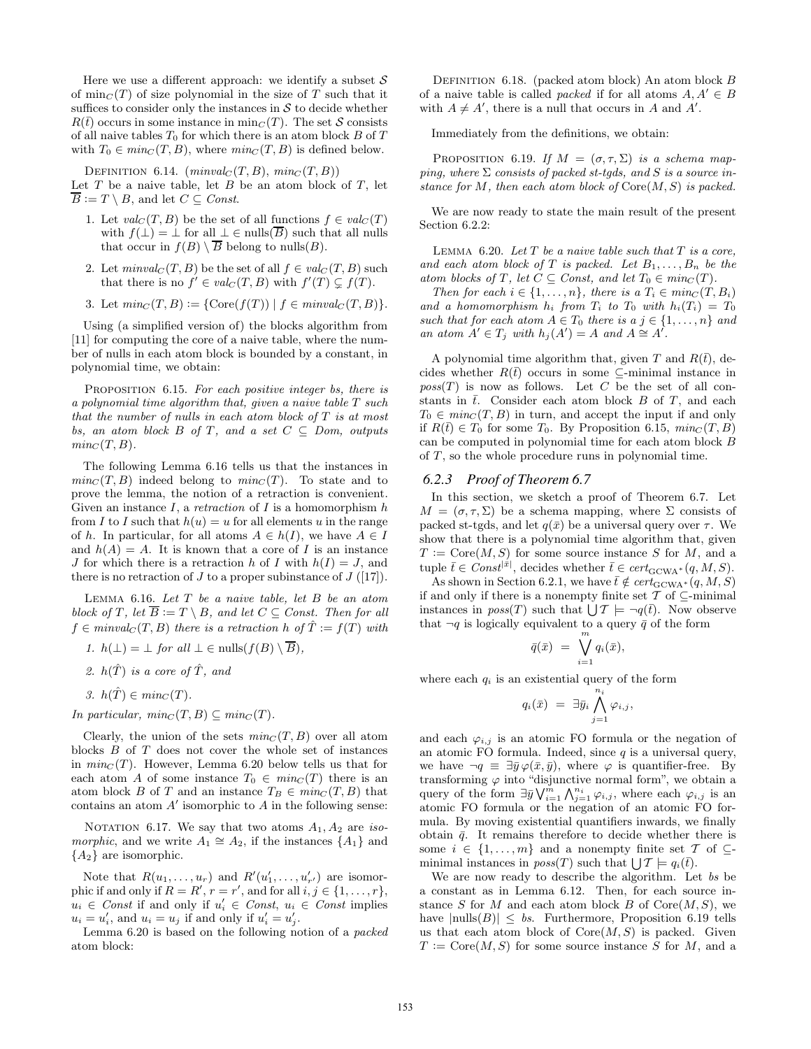Here we use a different approach: we identify a subset  $\mathcal S$ of  $\min_C(T)$  of size polynomial in the size of T such that it suffices to consider only the instances in  $S$  to decide whether  $R(\bar{t})$  occurs in some instance in min $C(T)$ . The set S consists of all naive tables  $T_0$  for which there is an atom block  $B$  of  $T$ with  $T_0 \in min_C(T, B)$ , where  $min_C(T, B)$  is defined below.

DEFINITION 6.14.  $(minval_C(T, B), min_C(T, B))$ 

Let  $T$  be a naive table, let  $B$  be an atom block of  $T$ , let  $\overline{B} := T \setminus B$ , and let  $C \subseteq Const$ .

- 1. Let  $val_C(T, B)$  be the set of all functions  $f \in val_C(T)$ with  $f(\perp) = \perp$  for all  $\perp \in \text{nulls}(B)$  such that all nulls that occur in  $f(B) \setminus \overline{B}$  belong to nulls $(B)$ .
- 2. Let  $minval_C(T, B)$  be the set of all  $f \in val_C(T, B)$  such that there is no  $f' \in val_C(T, B)$  with  $f'(T) \subsetneq f(T)$ .
- 3. Let  $min_C(T, B) := \{ \text{Core}(f(T)) \mid f \in minval_C(T, B) \}.$

Using (a simplified version of) the blocks algorithm from [11] for computing the core of a naive table, where the number of nulls in each atom block is bounded by a constant, in polynomial time, we obtain:

Proposition 6.15. *For each positive integer bs, there is a polynomial time algorithm that, given a naive table* T *such that the number of nulls in each atom block of* T *is at most bs, an atom block*  $B$  *of*  $T$ *, and a set*  $C \subseteq Dom$ *, outputs*  $min_C(T, B)$ .

The following Lemma 6.16 tells us that the instances in  $min_C(T, B)$  indeed belong to  $min_C(T)$ . To state and to prove the lemma, the notion of a retraction is convenient. Given an instance I, a *retraction* of I is a homomorphism h from I to I such that  $h(u) = u$  for all elements u in the range of h. In particular, for all atoms  $A \in h(I)$ , we have  $A \in I$ and  $h(A) = A$ . It is known that a core of I is an instance J for which there is a retraction h of I with  $h(I) = J$ , and there is no retraction of  $J$  to a proper subinstance of  $J$  ([17]).

Lemma 6.16. *Let* T *be a naive table, let* B *be an atom block of* T, let  $\overline{B} := T \setminus B$ , and let  $C \subseteq Const.$  Then for all  $f \in minval_C(T, B)$  *there is a retraction* h of  $\hat{T} := f(T)$  *with* 

- *1.*  $h(\perp) = \perp$  *for all*  $\perp \in \text{nulls}(f(B) \setminus \overline{B})$ *,*
- 2.  $h(\hat{T})$  *is a core of*  $\hat{T}$ *, and*
- $3. h(\hat{T}) \in min_C(T)$ .

*In particular, min<sub>C</sub>* $(T, B) \subseteq min_C(T)$ .

Clearly, the union of the sets  $\text{min}_C(T, B)$  over all atom blocks B of T does not cover the whole set of instances in  $min_C(T)$ . However, Lemma 6.20 below tells us that for each atom A of some instance  $T_0 \in min_C(T)$  there is an atom block B of T and an instance  $T_B \in min_C(T, B)$  that contains an atom  $A'$  isomorphic to  $A$  in the following sense:

NOTATION 6.17. We say that two atoms  $A_1, A_2$  are *isomorphic*, and we write  $A_1 \cong A_2$ , if the instances  $\{A_1\}$  and  ${A_2}$  are isomorphic.

Note that  $R(u_1, \ldots, u_r)$  and  $R'(u'_1, \ldots, u'_{r'})$  are isomorphic if and only if  $R = R', r = r'$ , and for all  $i, j \in \{1, ..., r\}$ ,  $u_i \in \text{Const}$  if and only if  $u'_i \in \text{Const}, u_i \in \text{Const}$  implies  $u_i = u'_i$ , and  $u_i = u_j$  if and only if  $u'_i = u'_j$ .

Lemma 6.20 is based on the following notion of a *packed* atom block:

DEFINITION  $6.18.$  (packed atom block) An atom block B of a naive table is called *packed* if for all atoms  $A, A' \in B$ with  $A \neq A'$ , there is a null that occurs in A and A'.

Immediately from the definitions, we obtain:

PROPOSITION 6.19. *If*  $M = (\sigma, \tau, \Sigma)$  *is a schema mapping, where*  $\Sigma$  *consists of packed st-tgds, and*  $S$  *is a source instance for* M*, then each atom block of* Core(M, S) *is packed.*

We are now ready to state the main result of the present Section 6.2.2:

Lemma 6.20. *Let* T *be a naive table such that* T *is a core,* and each atom block of  $T$  *is packed. Let*  $B_1, \ldots, B_n$  *be the atom blocks of* T, let  $C \subseteq Const$ , and let  $T_0 \in min_C(T)$ .

*Then for each*  $i \in \{1, \ldots, n\}$ *, there is a*  $T_i \in min_C(T, B_i)$ and a homomorphism  $h_i$  from  $T_i$  to  $T_0$  with  $h_i(T_i) = T_0$ *such that for each atom*  $A \in T_0$  *there is a*  $j \in \{1, ..., n\}$  *and an atom*  $A' \in T_j$  *with*  $h_j(A') = A$  *and*  $A \cong A'$ .

A polynomial time algorithm that, given T and  $R(\bar{t})$ , decides whether  $R(t)$  occurs in some ⊆-minimal instance in  $poss(T)$  is now as follows. Let C be the set of all constants in  $\bar{t}$ . Consider each atom block B of T, and each  $T_0 \in min_C(T, B)$  in turn, and accept the input if and only if  $R(\bar{t}) \in T_0$  for some  $T_0$ . By Proposition 6.15,  $min_C(T, B)$ can be computed in polynomial time for each atom block B of  $T$ , so the whole procedure runs in polynomial time.

## *6.2.3 Proof of Theorem 6.7*

In this section, we sketch a proof of Theorem 6.7. Let  $M = (\sigma, \tau, \Sigma)$  be a schema mapping, where  $\Sigma$  consists of packed st-tgds, and let  $q(\bar{x})$  be a universal query over  $\tau$ . We show that there is a polynomial time algorithm that, given  $T := \text{Core}(M, S)$  for some source instance S for M, and a tuple  $\bar{t} \in Const^{|\bar{x}|}$ , decides whether  $\bar{t} \in cert_{\text{GCWA}}(q, M, S)$ .

As shown in Section 6.2.1, we have  $\bar{t} \notin cert_{\text{GCWA}}(q, M, S)$ if and only if there is a nonempty finite set  $\mathcal T$  of  $\subseteq$ -minimal instances in  $poss(T)$  such that  $\bigcup \mathcal{T} \models \neg q(\bar{t})$ . Now observe that  $\neg q$  is logically equivalent to a query  $\bar{q}$  of the form

$$
\bar{q}(\bar{x}) = \bigvee_{i=1}^{m} q_i(\bar{x}),
$$

where each  $q_i$  is an existential query of the form

$$
q_i(\bar{x}) \,\,=\,\, \exists \bar{y}_i \bigwedge_{j=1}^{n_i} \varphi_{i,j},
$$

and each  $\varphi_{i,j}$  is an atomic FO formula or the negation of an atomic FO formula. Indeed, since  $q$  is a universal query, we have  $\neg q \equiv \exists \bar{y} \varphi(\bar{x}, \bar{y}),$  where  $\varphi$  is quantifier-free. By transforming  $\varphi$  into "disjunctive normal form", we obtain a query of the form  $\exists \bar{y} \bigvee_{i=1}^{m} \bigwedge_{j=1}^{n_i} \varphi_{i,j}$ , where each  $\varphi_{i,j}$  is an atomic FO formula or the negation of an atomic FO formula. By moving existential quantifiers inwards, we finally obtain  $\bar{q}$ . It remains therefore to decide whether there is some  $i \in \{1, \ldots, m\}$  and a nonempty finite set T of  $\subseteq$ minimal instances in  $poss(T)$  such that  $\bigcup \mathcal{T} \models q_i(\bar{t}).$ 

We are now ready to describe the algorithm. Let *bs* be a constant as in Lemma 6.12. Then, for each source instance S for M and each atom block B of  $Core(M, S)$ , we have  $|nulls(B)| \leq bs$ . Furthermore, Proposition 6.19 tells us that each atom block of  $Core(M, S)$  is packed. Given  $T := \text{Core}(M, S)$  for some source instance S for M, and a